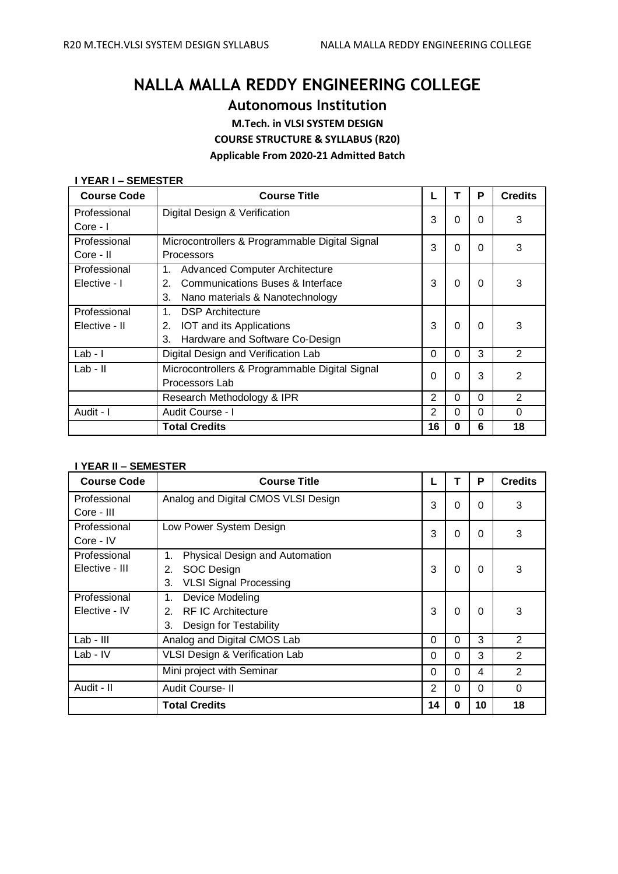# **NALLA MALLA REDDY ENGINEERING COLLEGE**

**Autonomous Institution**

**M.Tech. in VLSI SYSTEM DESIGN**

**COURSE STRUCTURE & SYLLABUS (R20)**

**Applicable From 2020-21 Admitted Batch**

# **I YEAR I – SEMESTER**

| <b>Course Code</b> | <b>Course Title</b>                            | ட              |          | P        | <b>Credits</b> |
|--------------------|------------------------------------------------|----------------|----------|----------|----------------|
| Professional       | Digital Design & Verification                  | 3              | 0        | $\Omega$ | 3              |
| Core - I           |                                                |                |          |          |                |
| Professional       | Microcontrollers & Programmable Digital Signal | 3              | 0        | $\Omega$ | 3              |
| Core - II          | Processors                                     |                |          |          |                |
| Professional       | <b>Advanced Computer Architecture</b><br>1.    |                |          |          |                |
| Elective - I       | Communications Buses & Interface<br>2.         | 3              | 0        | $\Omega$ | 3              |
|                    | 3.<br>Nano materials & Nanotechnology          |                |          |          |                |
| Professional       | <b>DSP</b> Architecture<br>1.                  |                |          |          |                |
| Elective - II      | IOT and its Applications<br>2.                 | 3              | 0        | 0        | 3              |
|                    | Hardware and Software Co-Design<br>3.          |                |          |          |                |
| $Lab - I$          | Digital Design and Verification Lab            | 0              | $\Omega$ | 3        | 2              |
| Lab - II           | Microcontrollers & Programmable Digital Signal | 0              | 0        | 3        | $\overline{2}$ |
|                    | Processors Lab                                 |                |          |          |                |
|                    | Research Methodology & IPR                     | $\overline{2}$ | 0        | 0        | $\overline{2}$ |
| Audit - I          | Audit Course - I                               | $\overline{2}$ | $\Omega$ | $\Omega$ | 0              |
|                    | <b>Total Credits</b>                           | 16             | 0        | 6        | 18             |

# **I YEAR II – SEMESTER**

| <b>Course Code</b>         | <b>Course Title</b>                  |                |              | Ρ        | <b>Credits</b> |
|----------------------------|--------------------------------------|----------------|--------------|----------|----------------|
| Professional<br>Core - III | Analog and Digital CMOS VLSI Design  | 3              | $\Omega$     | $\Omega$ | 3              |
|                            |                                      |                |              |          |                |
| Professional               | Low Power System Design              | 3              | 0            | $\Omega$ | 3              |
| Core - IV                  |                                      |                |              |          |                |
| Professional               | Physical Design and Automation<br>1. |                |              |          |                |
| Elective - III             | <b>SOC Design</b><br>2.              | 3              | $\Omega$     | $\Omega$ | 3              |
|                            | <b>VLSI Signal Processing</b><br>3.  |                |              |          |                |
| Professional               | Device Modeling<br>1.                |                |              |          |                |
| Elective - IV              | <b>RF IC Architecture</b><br>2.      | 3              | 0            | $\Omega$ | 3              |
|                            | 3.<br>Design for Testability         |                |              |          |                |
| Lab - III                  | Analog and Digital CMOS Lab          | 0              | $\Omega$     | 3        | 2              |
| $Lab - IV$                 | VLSI Design & Verification Lab       | $\Omega$       | 0            | 3        | 2              |
|                            | Mini project with Seminar            | $\Omega$       | $\Omega$     | 4        | 2              |
| Audit - II                 | Audit Course-II                      | $\overline{2}$ | 0            | $\Omega$ | 0              |
|                            | <b>Total Credits</b>                 | 14             | <sup>0</sup> | 10       | 18             |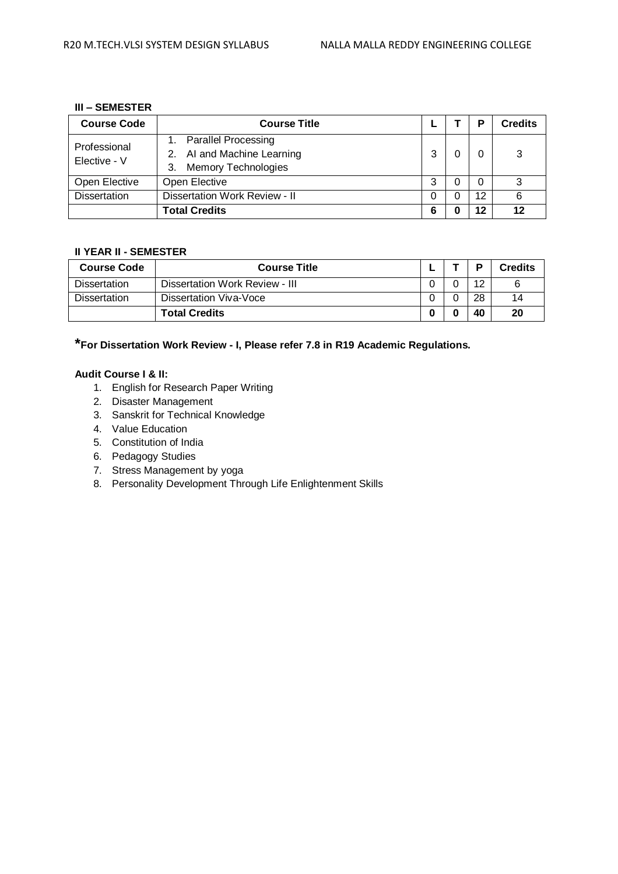# **III – SEMESTER**

| <b>Course Code</b>           | <b>Course Title</b>                                                                          |   | P        | <b>Credits</b> |
|------------------------------|----------------------------------------------------------------------------------------------|---|----------|----------------|
| Professional<br>Elective - V | <b>Parallel Processing</b><br>2. Al and Machine Learning<br><b>Memory Technologies</b><br>3. | 3 | 0        | 3              |
| Open Elective                | Open Elective                                                                                | 3 | $\Omega$ | 3              |
| <b>Dissertation</b>          | Dissertation Work Review - II                                                                | 0 | 12       | 6              |
|                              | <b>Total Credits</b>                                                                         | 6 | 12       | 12             |

# **II YEAR II - SEMESTER**

| <b>Course Code</b>  | <b>Course Title</b>            |  | D  | Credits |
|---------------------|--------------------------------|--|----|---------|
| <b>Dissertation</b> | Dissertation Work Review - III |  | 12 |         |
| <b>Dissertation</b> | Dissertation Viva-Voce         |  | 28 | 14      |
|                     | <b>Total Credits</b>           |  | 40 | 20      |

**\*For Dissertation Work Review - I, Please refer 7.8 in R19 Academic Regulations.**

# **Audit Course I & II:**

- 1. English for Research Paper Writing
- 2. Disaster Management
- 3. Sanskrit for Technical Knowledge
- 4. Value Education
- 5. Constitution of India
- 6. Pedagogy Studies
- 7. Stress Management by yoga
- 8. Personality Development Through Life Enlightenment Skills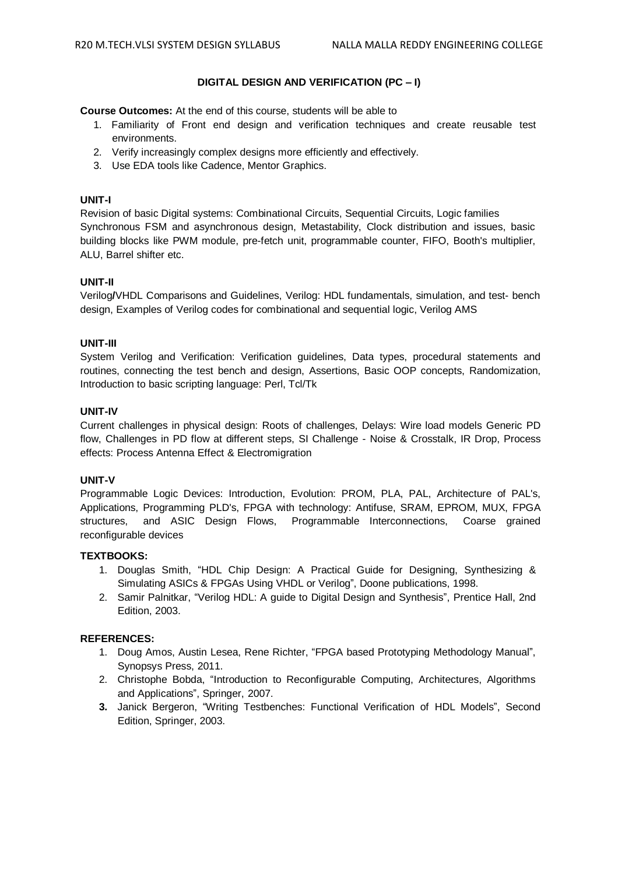# **DIGITAL DESIGN AND VERIFICATION (PC – I)**

**Course Outcomes:** At the end of this course, students will be able to

- 1. Familiarity of Front end design and verification techniques and create reusable test environments.
- 2. Verify increasingly complex designs more efficiently and effectively.
- 3. Use EDA tools like Cadence, Mentor Graphics.

# **UNIT-I**

Revision of basic Digital systems: Combinational Circuits, Sequential Circuits, Logic families Synchronous FSM and asynchronous design, Metastability, Clock distribution and issues, basic building blocks like PWM module, pre-fetch unit, programmable counter, FIFO, Booth's multiplier, ALU, Barrel shifter etc.

#### **UNIT-II**

Verilog**/**VHDL Comparisons and Guidelines, Verilog: HDL fundamentals, simulation, and test- bench design, Examples of Verilog codes for combinational and sequential logic, Verilog AMS

### **UNIT-III**

System Verilog and Verification: Verification guidelines, Data types, procedural statements and routines, connecting the test bench and design, Assertions, Basic OOP concepts, Randomization, Introduction to basic scripting language: Perl, Tcl/Tk

#### **UNIT-IV**

Current challenges in physical design: Roots of challenges, Delays: Wire load models Generic PD flow, Challenges in PD flow at different steps, SI Challenge - Noise & Crosstalk, IR Drop, Process effects: Process Antenna Effect & Electromigration

#### **UNIT-V**

Programmable Logic Devices: Introduction, Evolution: PROM, PLA, PAL, Architecture of PAL's, Applications, Programming PLD's, FPGA with technology: Antifuse, SRAM, EPROM, MUX, FPGA structures, and ASIC Design Flows, Programmable Interconnections, Coarse grained reconfigurable devices

#### **TEXTBOOKS:**

- 1. Douglas Smith, "HDL Chip Design: A Practical Guide for Designing, Synthesizing & Simulating ASICs & FPGAs Using VHDL or Verilog", Doone publications, 1998.
- 2. Samir Palnitkar, "Verilog HDL: A guide to Digital Design and Synthesis", Prentice Hall, 2nd Edition, 2003.

- 1. Doug Amos, Austin Lesea, Rene Richter, "FPGA based Prototyping Methodology Manual", Synopsys Press, 2011.
- 2. Christophe Bobda, "Introduction to Reconfigurable Computing, Architectures, Algorithms and Applications", Springer, 2007.
- **3.** Janick Bergeron, "Writing Testbenches: Functional Verification of HDL Models", Second Edition, Springer, 2003.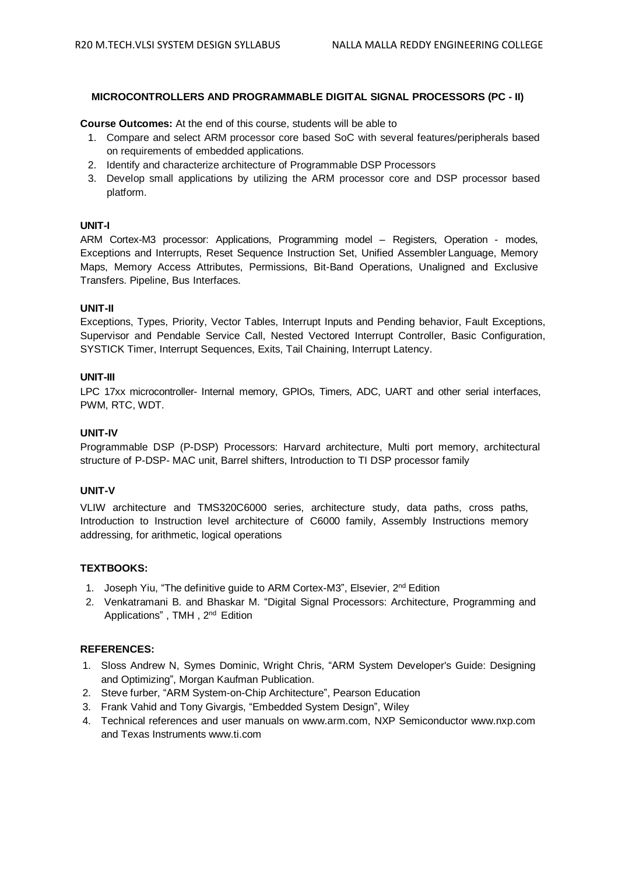# **MICROCONTROLLERS AND PROGRAMMABLE DIGITAL SIGNAL PROCESSORS (PC - II)**

**Course Outcomes:** At the end of this course, students will be able to

- 1. Compare and select ARM processor core based SoC with several features/peripherals based on requirements of embedded applications.
- 2. Identify and characterize architecture of Programmable DSP Processors
- 3. Develop small applications by utilizing the ARM processor core and DSP processor based platform.

# **UNIT-I**

ARM Cortex-M3 processor: Applications, Programming model – Registers, Operation - modes, Exceptions and Interrupts, Reset Sequence Instruction Set, Unified Assembler Language, Memory Maps, Memory Access Attributes, Permissions, Bit-Band Operations, Unaligned and Exclusive Transfers. Pipeline, Bus Interfaces.

# **UNIT-II**

Exceptions, Types, Priority, Vector Tables, Interrupt Inputs and Pending behavior, Fault Exceptions, Supervisor and Pendable Service Call, Nested Vectored Interrupt Controller, Basic Configuration, SYSTICK Timer, Interrupt Sequences, Exits, Tail Chaining, Interrupt Latency.

# **UNIT-III**

LPC 17xx microcontroller- Internal memory, GPIOs, Timers, ADC, UART and other serial interfaces, PWM, RTC, WDT.

# **UNIT-IV**

Programmable DSP (P-DSP) Processors: Harvard architecture, Multi port memory, architectural structure of P-DSP- MAC unit, Barrel shifters, Introduction to TI DSP processor family

#### **UNIT-V**

VLIW architecture and TMS320C6000 series, architecture study, data paths, cross paths, Introduction to Instruction level architecture of C6000 family, Assembly Instructions memory addressing, for arithmetic, logical operations

# **TEXTBOOKS:**

- 1. Joseph Yiu, "The definitive guide to ARM Cortex-M3", Elsevier, 2<sup>nd</sup> Edition
- 2. Venkatramani B. and Bhaskar M. "Digital Signal Processors: Architecture, Programming and Applications", TMH, 2<sup>nd</sup> Edition

- 1. Sloss Andrew N, Symes Dominic, Wright Chris, "ARM System Developer's Guide: Designing and Optimizing", Morgan Kaufman Publication.
- 2. Steve furber, "ARM System-on-Chip Architecture", Pearson Education
- 3. Frank Vahid and Tony Givargis, "Embedded System Design", Wiley
- 4. Technical references and user manuals on [www.arm.com,](http://www.arm.com,/) NXP Semiconductor [www.nxp.com](http://www.nxp.com/) and Texas Instruments [www.ti.com](http://www.ti.com/)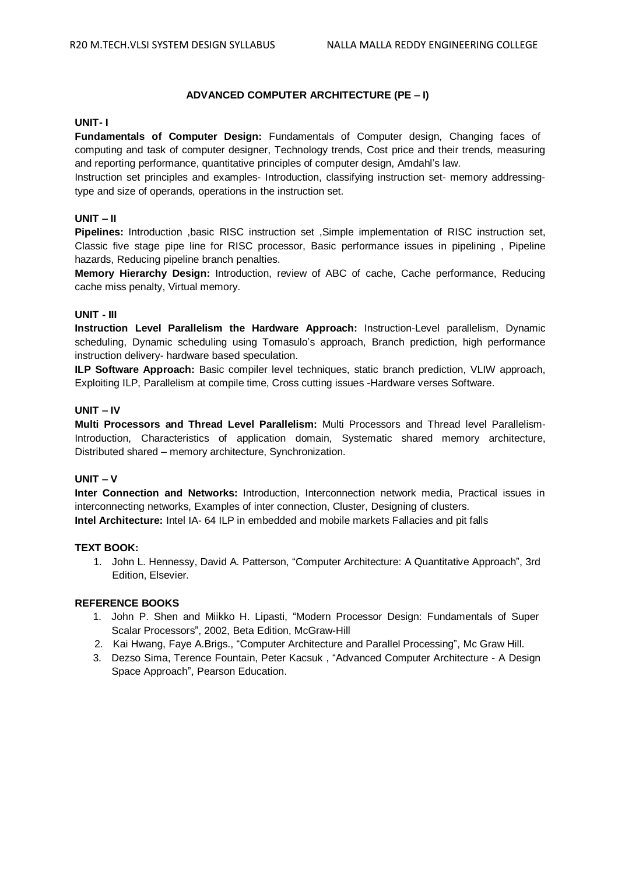# **ADVANCED COMPUTER ARCHITECTURE (PE – I)**

# **UNIT- I**

**Fundamentals of Computer Design:** Fundamentals of Computer design, Changing faces of computing and task of computer designer, Technology trends, Cost price and their trends, measuring and reporting performance, quantitative principles of computer design, Amdahl's law.

Instruction set principles and examples- Introduction, classifying instruction set- memory addressingtype and size of operands, operations in the instruction set.

# **UNIT – II**

**Pipelines:** Introduction ,basic RISC instruction set ,Simple implementation of RISC instruction set, Classic five stage pipe line for RISC processor, Basic performance issues in pipelining , Pipeline hazards, Reducing pipeline branch penalties.

**Memory Hierarchy Design:** Introduction, review of ABC of cache, Cache performance, Reducing cache miss penalty, Virtual memory.

# **UNIT - III**

**Instruction Level Parallelism the Hardware Approach:** Instruction-Level parallelism, Dynamic scheduling, Dynamic scheduling using Tomasulo's approach, Branch prediction, high performance instruction delivery- hardware based speculation.

**ILP Software Approach:** Basic compiler level techniques, static branch prediction, VLIW approach, Exploiting ILP, Parallelism at compile time, Cross cutting issues -Hardware verses Software.

# **UNIT – IV**

**Multi Processors and Thread Level Parallelism:** Multi Processors and Thread level Parallelism-Introduction, Characteristics of application domain, Systematic shared memory architecture, Distributed shared – memory architecture, Synchronization.

# **UNIT – V**

**Inter Connection and Networks:** Introduction, Interconnection network media, Practical issues in interconnecting networks, Examples of inter connection, Cluster, Designing of clusters. **Intel Architecture:** Intel IA- 64 ILP in embedded and mobile markets Fallacies and pit falls

# **TEXT BOOK:**

1. John L. Hennessy, David A. Patterson, "Computer Architecture: A Quantitative Approach", 3rd Edition, Elsevier.

# **REFERENCE BOOKS**

- 1. John P. Shen and Miikko H. Lipasti, "Modern Processor Design: Fundamentals of Super Scalar Processors", 2002, Beta Edition, McGraw-Hill
- 2. Kai Hwang, Faye A.Brigs., "Computer Architecture and Parallel Processing", Mc Graw Hill.
- 3. Dezso Sima, Terence Fountain, Peter Kacsuk , "Advanced Computer Architecture A Design Space Approach", Pearson Education.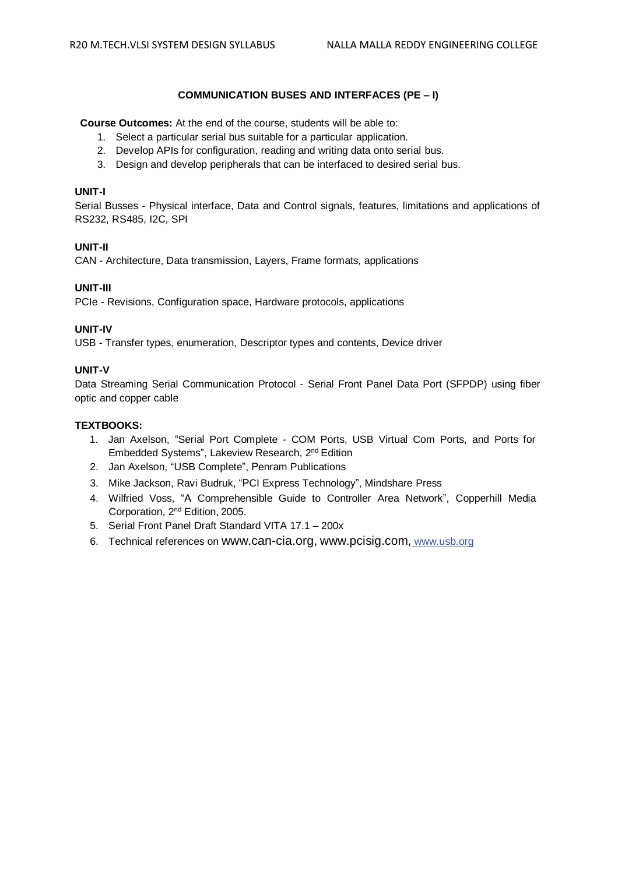# **COMMUNICATION BUSES AND INTERFACES (PE – I)**

**Course Outcomes:** At the end of the course, students will be able to:

- 1. Select a particular serial bus suitable for a particular application.
- 2. Develop APIs for configuration, reading and writing data onto serial bus.
- 3. Design and develop peripherals that can be interfaced to desired serial bus.

# **UNIT-I**

Serial Busses - Physical interface, Data and Control signals, features, limitations and applications of RS232, RS485, I2C, SPI

# **UNIT-II**

CAN - Architecture, Data transmission, Layers, Frame formats, applications

# **UNIT-III**

PCIe - Revisions, Configuration space, Hardware protocols, applications

# **UNIT-IV**

USB - Transfer types, enumeration, Descriptor types and contents, Device driver

# **UNIT-V**

Data Streaming Serial Communication Protocol - Serial Front Panel Data Port (SFPDP) using fiber optic and copper cable

# **TEXTBOOKS:**

- 1. Jan Axelson, "Serial Port Complete COM Ports, USB Virtual Com Ports, and Ports for Embedded Systems", Lakeview Research, 2<sup>nd</sup> Edition
- 2. Jan Axelson, "USB Complete", Penram Publications
- 3. Mike Jackson, Ravi Budruk, "PCI Express Technology", Mindshare Press
- 4. Wilfried Voss, "A Comprehensible Guide to Controller Area Network", Copperhill Media Corporation, 2<sup>nd</sup> Edition, 2005.
- 5. Serial Front Panel Draft Standard VITA 17.1 200x
- 6. Technical references on [www.can-cia.org,](http://www.can-cia.org,/) www.pcisig.com[,](http://www.can-cia.org,/) [www.usb.org](http://www.usb.org/)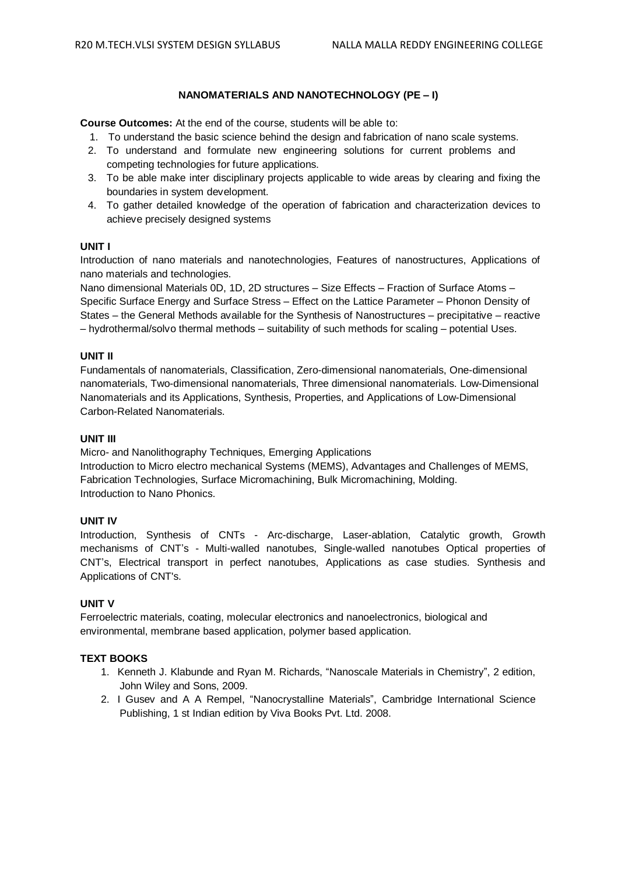# **NANOMATERIALS AND NANOTECHNOLOGY (PE – I)**

**Course Outcomes:** At the end of the course, students will be able to:

- 1. To understand the basic science behind the design and fabrication of nano scale systems.
- 2. To understand and formulate new engineering solutions for current problems and competing technologies for future applications.
- 3. To be able make inter disciplinary projects applicable to wide areas by clearing and fixing the boundaries in system development.
- 4. To gather detailed knowledge of the operation of fabrication and characterization devices to achieve precisely designed systems

# **UNIT I**

Introduction of nano materials and nanotechnologies, Features of nanostructures, Applications of nano materials and technologies.

Nano dimensional Materials 0D, 1D, 2D structures – Size Effects – Fraction of Surface Atoms – Specific Surface Energy and Surface Stress – Effect on the Lattice Parameter – Phonon Density of States – the General Methods available for the Synthesis of Nanostructures – precipitative – reactive – hydrothermal/solvo thermal methods – suitability of such methods for scaling – potential Uses.

# **UNIT II**

Fundamentals of nanomaterials, Classification, Zero-dimensional nanomaterials, One-dimensional nanomaterials, Two-dimensional nanomaterials, Three dimensional nanomaterials. Low-Dimensional Nanomaterials and its Applications, Synthesis, Properties, and Applications of Low-Dimensional Carbon-Related Nanomaterials.

#### **UNIT III**

Micro- and Nanolithography Techniques, Emerging Applications

Introduction to Micro electro mechanical Systems (MEMS), Advantages and Challenges of MEMS, Fabrication Technologies, Surface Micromachining, Bulk Micromachining, Molding. Introduction to Nano Phonics.

# **UNIT IV**

Introduction, Synthesis of CNTs - Arc-discharge, Laser-ablation, Catalytic growth, Growth mechanisms of CNT's - Multi-walled nanotubes, Single-walled nanotubes Optical properties of CNT's, Electrical transport in perfect nanotubes, Applications as case studies. Synthesis and Applications of CNT's.

# **UNIT V**

Ferroelectric materials, coating, molecular electronics and nanoelectronics, biological and environmental, membrane based application, polymer based application.

# **TEXT BOOKS**

- 1. Kenneth J. Klabunde and Ryan M. Richards, "Nanoscale Materials in Chemistry", 2 edition, John Wiley and Sons, 2009.
- 2. I Gusev and A A Rempel, "Nanocrystalline Materials", Cambridge International Science Publishing, 1 st Indian edition by Viva Books Pvt. Ltd. 2008.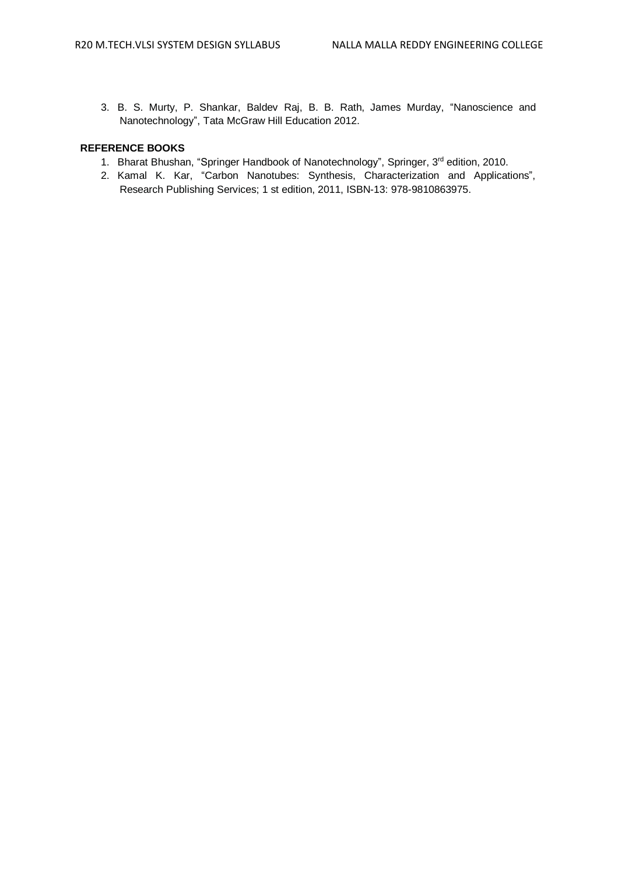3. B. S. Murty, P. Shankar, Baldev Raj, B. B. Rath, James Murday, "Nanoscience and Nanotechnology", Tata McGraw Hill Education 2012.

# **REFERENCE BOOKS**

- 1. Bharat Bhushan, "Springer Handbook of Nanotechnology", Springer, 3<sup>rd</sup> edition, 2010.
- 2. Kamal K. Kar, "Carbon Nanotubes: Synthesis, Characterization and Applications", Research Publishing Services; 1 st edition, 2011, ISBN-13: 978-9810863975.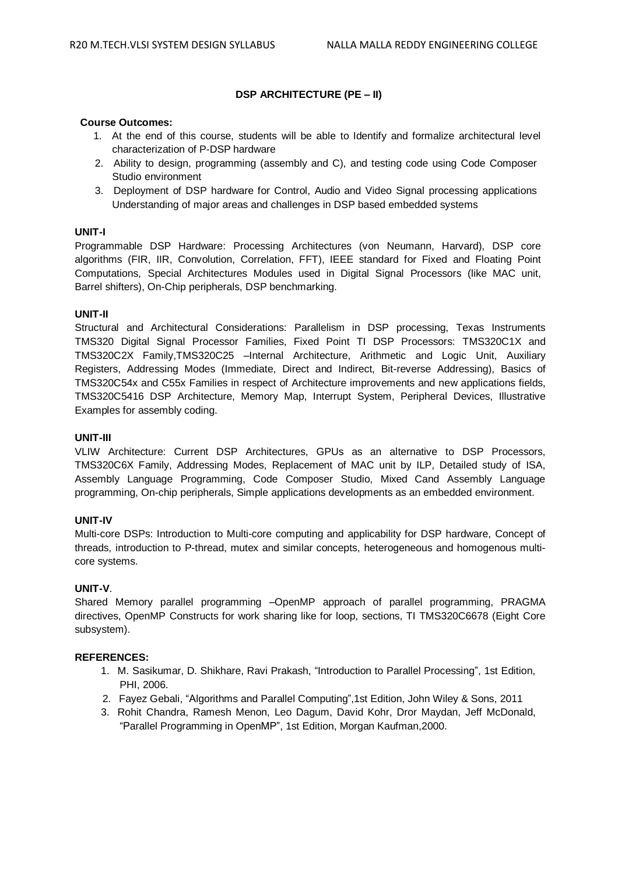# **DSP ARCHITECTURE (PE – II)**

# **Course Outcomes:**

- 1. At the end of this course, students will be able to Identify and formalize architectural level characterization of P-DSP hardware
- 2. Ability to design, programming (assembly and C), and testing code using Code Composer Studio environment
- 3. Deployment of DSP hardware for Control, Audio and Video Signal processing applications Understanding of major areas and challenges in DSP based embedded systems

# **UNIT-I**

Programmable DSP Hardware: Processing Architectures (von Neumann, Harvard), DSP core algorithms (FIR, IIR, Convolution, Correlation, FFT), IEEE standard for Fixed and Floating Point Computations, Special Architectures Modules used in Digital Signal Processors (like MAC unit, Barrel shifters), On-Chip peripherals, DSP benchmarking.

# **UNIT-II**

Structural and Architectural Considerations: Parallelism in DSP processing, Texas Instruments TMS320 Digital Signal Processor Families, Fixed Point TI DSP Processors: TMS320C1X and TMS320C2X Family,TMS320C25 –Internal Architecture, Arithmetic and Logic Unit, Auxiliary Registers, Addressing Modes (Immediate, Direct and Indirect, Bit-reverse Addressing), Basics of TMS320C54x and C55x Families in respect of Architecture improvements and new applications fields, TMS320C5416 DSP Architecture, Memory Map, Interrupt System, Peripheral Devices, Illustrative Examples for assembly coding.

### **UNIT-III**

VLIW Architecture: Current DSP Architectures, GPUs as an alternative to DSP Processors, TMS320C6X Family, Addressing Modes, Replacement of MAC unit by ILP, Detailed study of ISA, Assembly Language Programming, Code Composer Studio, Mixed Cand Assembly Language programming, On-chip peripherals, Simple applications developments as an embedded environment.

# **UNIT-IV**

Multi-core DSPs: Introduction to Multi-core computing and applicability for DSP hardware, Concept of threads, introduction to P-thread, mutex and similar concepts, heterogeneous and homogenous multicore systems.

# **UNIT-V**.

Shared Memory parallel programming –OpenMP approach of parallel programming, PRAGMA directives, OpenMP Constructs for work sharing like for loop, sections, TI TMS320C6678 (Eight Core subsystem).

- 1. M. Sasikumar, D. Shikhare, Ravi Prakash, "Introduction to Parallel Processing", 1st Edition, PHI, 2006.
- 2. Fayez Gebali, "Algorithms and Parallel Computing",1st Edition, John Wiley & Sons, 2011
- 3. Rohit Chandra, Ramesh Menon, Leo Dagum, David Kohr, Dror Maydan, Jeff McDonald, "Parallel Programming in OpenMP", 1st Edition, Morgan Kaufman,2000.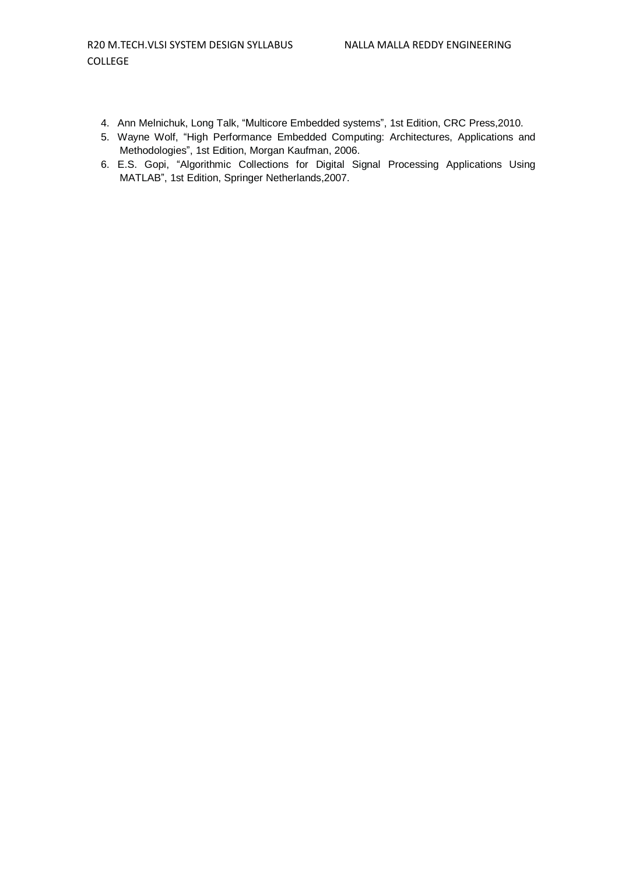- 4. Ann Melnichuk, Long Talk, "Multicore Embedded systems", 1st Edition, CRC Press,2010.
- 5. Wayne Wolf, "High Performance Embedded Computing: Architectures, Applications and Methodologies", 1st Edition, Morgan Kaufman, 2006.
- 6. E.S. Gopi, "Algorithmic Collections for Digital Signal Processing Applications Using MATLAB", 1st Edition, Springer Netherlands,2007.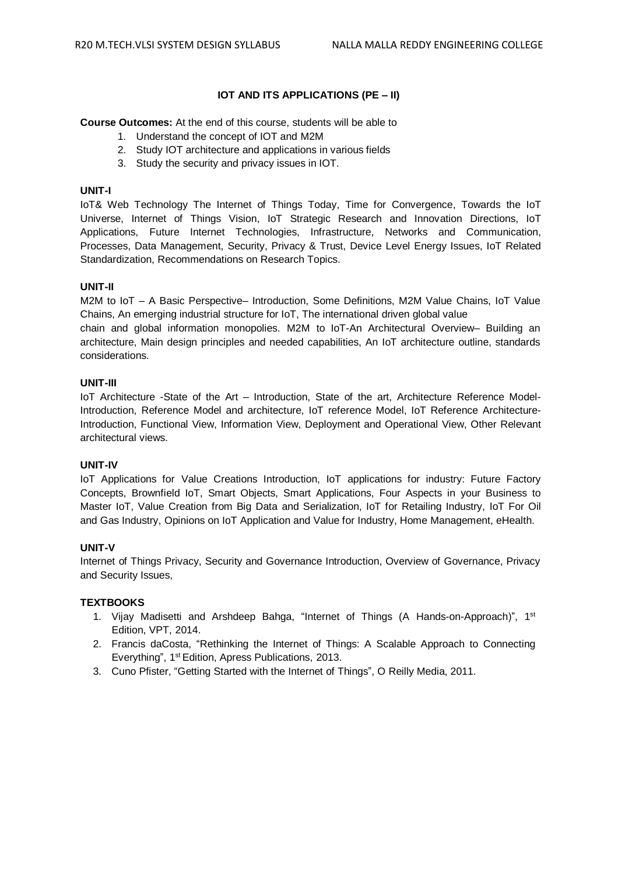# **IOT AND ITS APPLICATIONS (PE – II)**

**Course Outcomes:** At the end of this course, students will be able to

- 1. Understand the concept of IOT and M2M
- 2. Study IOT architecture and applications in various fields
- 3. Study the security and privacy issues in IOT.

# **UNIT-I**

IoT& Web Technology The Internet of Things Today, Time for Convergence, Towards the IoT Universe, Internet of Things Vision, IoT Strategic Research and Innovation Directions, IoT Applications, Future Internet Technologies, Infrastructure, Networks and Communication, Processes, Data Management, Security, Privacy & Trust, Device Level Energy Issues, IoT Related Standardization, Recommendations on Research Topics.

# **UNIT-II**

M2M to IoT – A Basic Perspective– Introduction, Some Definitions, M2M Value Chains, IoT Value Chains, An emerging industrial structure for IoT, The international driven global value

chain and global information monopolies. M2M to IoT-An Architectural Overview– Building an architecture, Main design principles and needed capabilities, An IoT architecture outline, standards considerations.

# **UNIT-III**

IoT Architecture -State of the Art – Introduction, State of the art, Architecture Reference Model-Introduction, Reference Model and architecture, IoT reference Model, IoT Reference Architecture-Introduction, Functional View, Information View, Deployment and Operational View, Other Relevant architectural views.

# **UNIT-IV**

IoT Applications for Value Creations Introduction, IoT applications for industry: Future Factory Concepts, Brownfield IoT, Smart Objects, Smart Applications, Four Aspects in your Business to Master IoT, Value Creation from Big Data and Serialization, IoT for Retailing Industry, IoT For Oil and Gas Industry, Opinions on IoT Application and Value for Industry, Home Management, eHealth.

# **UNIT-V**

Internet of Things Privacy, Security and Governance Introduction, Overview of Governance, Privacy and Security Issues,

# **TEXTBOOKS**

- 1. Vijay Madisetti and Arshdeep Bahga, "Internet of Things (A Hands-on-Approach)", 1<sup>st</sup> Edition, VPT, 2014.
- 2. Francis daCosta, "Rethinking the Internet of Things: A Scalable Approach to Connecting Everything", 1<sup>st</sup> Edition, Apress Publications, 2013.
- 3. Cuno Pfister, "Getting Started with the Internet of Things", O Reilly Media, 2011.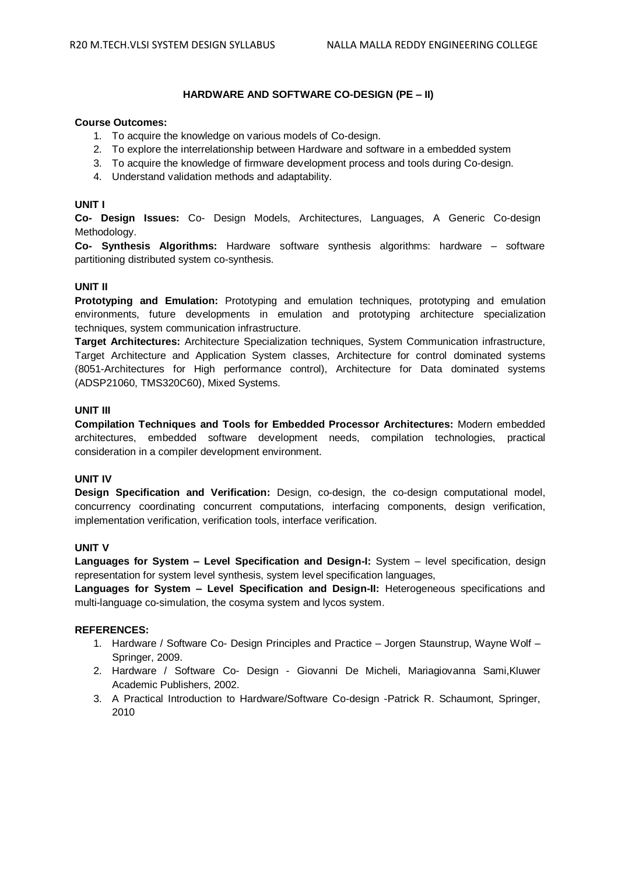# **HARDWARE AND SOFTWARE CO-DESIGN (PE – II)**

#### **Course Outcomes:**

- 1. To acquire the knowledge on various models of Co-design.
- 2. To explore the interrelationship between Hardware and software in a embedded system
- 3. To acquire the knowledge of firmware development process and tools during Co-design.
- 4. Understand validation methods and adaptability.

# **UNIT I**

**Co- Design Issues:** Co- Design Models, Architectures, Languages, A Generic Co-design Methodology.

**Co- Synthesis Algorithms:** Hardware software synthesis algorithms: hardware – software partitioning distributed system co-synthesis.

# **UNIT II**

**Prototyping and Emulation:** Prototyping and emulation techniques, prototyping and emulation environments, future developments in emulation and prototyping architecture specialization techniques, system communication infrastructure.

**Target Architectures:** Architecture Specialization techniques, System Communication infrastructure, Target Architecture and Application System classes, Architecture for control dominated systems (8051-Architectures for High performance control), Architecture for Data dominated systems (ADSP21060, TMS320C60), Mixed Systems.

# **UNIT III**

**Compilation Techniques and Tools for Embedded Processor Architectures:** Modern embedded architectures, embedded software development needs, compilation technologies, practical consideration in a compiler development environment.

# **UNIT IV**

**Design Specification and Verification:** Design, co-design, the co-design computational model, concurrency coordinating concurrent computations, interfacing components, design verification, implementation verification, verification tools, interface verification.

# **UNIT V**

**Languages for System – Level Specification and Design-I:** System – level specification, design representation for system level synthesis, system level specification languages,

**Languages for System – Level Specification and Design-II:** Heterogeneous specifications and multi-language co-simulation, the cosyma system and lycos system.

- 1. Hardware / Software Co- Design Principles and Practice Jorgen Staunstrup, Wayne Wolf Springer, 2009.
- 2. Hardware / Software Co- Design Giovanni De Micheli, Mariagiovanna Sami,Kluwer Academic Publishers, 2002.
- 3. A Practical Introduction to Hardware/Software Co-design -Patrick R. Schaumont, Springer, 2010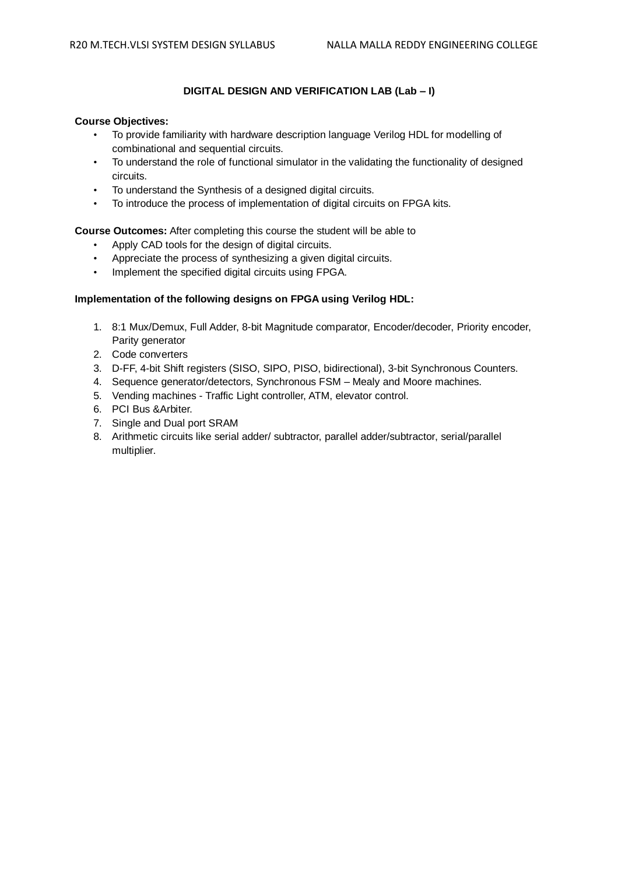# **DIGITAL DESIGN AND VERIFICATION LAB (Lab – I)**

# **Course Objectives:**

- To provide familiarity with hardware description language Verilog HDL for modelling of combinational and sequential circuits.
- To understand the role of functional simulator in the validating the functionality of designed circuits.
- To understand the Synthesis of a designed digital circuits.
- To introduce the process of implementation of digital circuits on FPGA kits.

# **Course Outcomes:** After completing this course the student will be able to

- Apply CAD tools for the design of digital circuits.
- Appreciate the process of synthesizing a given digital circuits.
- Implement the specified digital circuits using FPGA.

# **Implementation of the following designs on FPGA using Verilog HDL:**

- 1. 8:1 Mux/Demux, Full Adder, 8-bit Magnitude comparator, Encoder/decoder, Priority encoder, Parity generator
- 2. Code converters
- 3. D-FF, 4-bit Shift registers (SISO, SIPO, PISO, bidirectional), 3-bit Synchronous Counters.
- 4. Sequence generator/detectors, Synchronous FSM Mealy and Moore machines.
- 5. Vending machines Traffic Light controller, ATM, elevator control.
- 6. PCI Bus &Arbiter.
- 7. Single and Dual port SRAM
- 8. Arithmetic circuits like serial adder/ subtractor, parallel adder/subtractor, serial/parallel multiplier.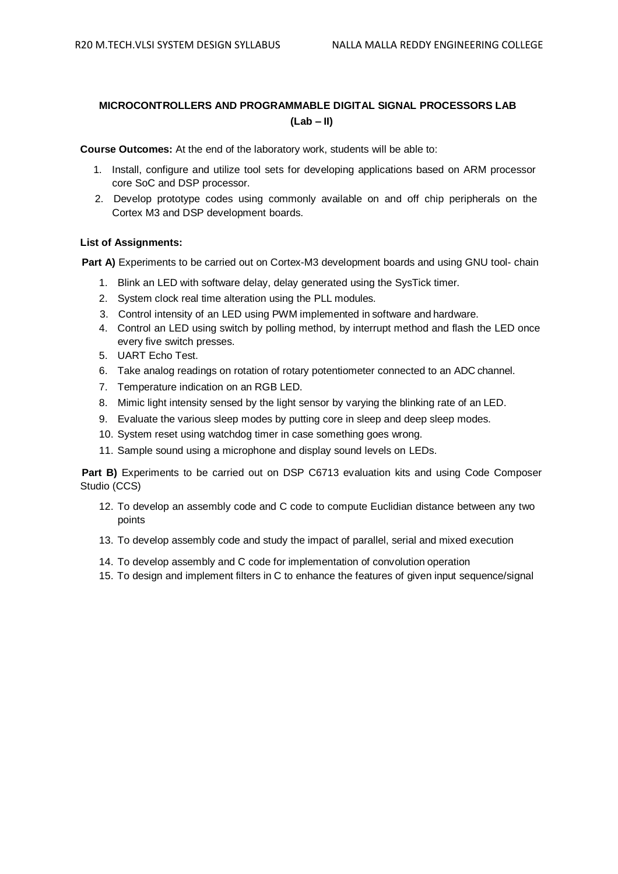# **MICROCONTROLLERS AND PROGRAMMABLE DIGITAL SIGNAL PROCESSORS LAB (Lab – II)**

**Course Outcomes:** At the end of the laboratory work, students will be able to:

- 1. Install, configure and utilize tool sets for developing applications based on ARM processor core SoC and DSP processor.
- 2. Develop prototype codes using commonly available on and off chip peripherals on the Cortex M3 and DSP development boards.

# **List of Assignments:**

**Part A)** Experiments to be carried out on Cortex-M3 development boards and using GNU tool- chain

- 1. Blink an LED with software delay, delay generated using the SysTick timer.
- 2. System clock real time alteration using the PLL modules.
- 3. Control intensity of an LED using PWM implemented in software and hardware.
- 4. Control an LED using switch by polling method, by interrupt method and flash the LED once every five switch presses.
- 5. UART Echo Test.
- 6. Take analog readings on rotation of rotary potentiometer connected to an ADC channel.
- 7. Temperature indication on an RGB LED.
- 8. Mimic light intensity sensed by the light sensor by varying the blinking rate of an LED.
- 9. Evaluate the various sleep modes by putting core in sleep and deep sleep modes.
- 10. System reset using watchdog timer in case something goes wrong.
- 11. Sample sound using a microphone and display sound levels on LEDs.

**Part B)** Experiments to be carried out on DSP C6713 evaluation kits and using Code Composer Studio (CCS)

- 12. To develop an assembly code and C code to compute Euclidian distance between any two points
- 13. To develop assembly code and study the impact of parallel, serial and mixed execution
- 14. To develop assembly and C code for implementation of convolution operation
- 15. To design and implement filters in C to enhance the features of given input sequence/signal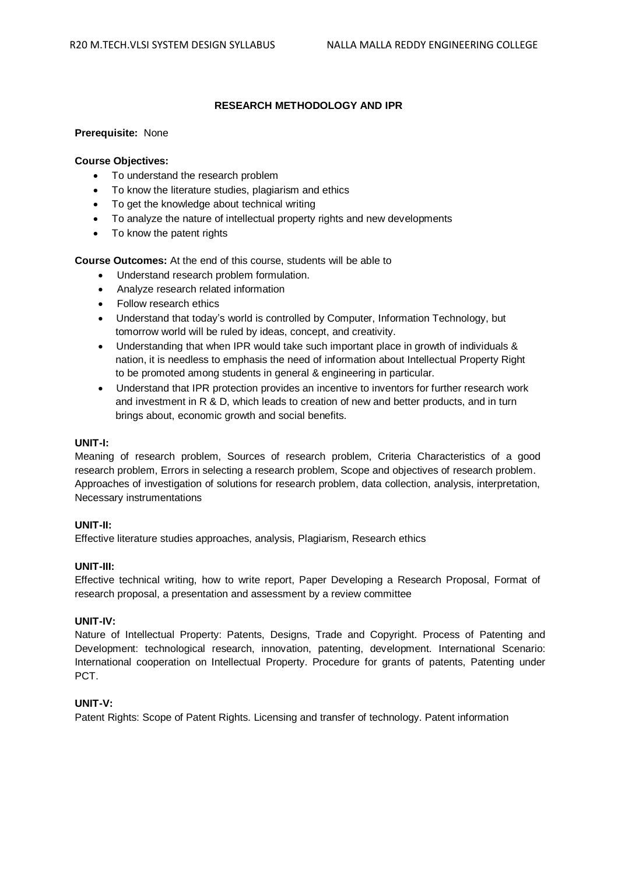# **RESEARCH METHODOLOGY AND IPR**

# **Prerequisite:** None

# **Course Objectives:**

- To understand the research problem
- To know the literature studies, plagiarism and ethics
- To get the knowledge about technical writing
- To analyze the nature of intellectual property rights and new developments
- To know the patent rights

**Course Outcomes:** At the end of this course, students will be able to

- Understand research problem formulation.
- Analyze research related information
- Follow research ethics
- Understand that today's world is controlled by Computer, Information Technology, but tomorrow world will be ruled by ideas, concept, and creativity.
- Understanding that when IPR would take such important place in growth of individuals & nation, it is needless to emphasis the need of information about Intellectual Property Right to be promoted among students in general & engineering in particular.
- Understand that IPR protection provides an incentive to inventors for further research work and investment in R & D, which leads to creation of new and better products, and in turn brings about, economic growth and social benefits.

# **UNIT-I:**

Meaning of research problem, Sources of research problem, Criteria Characteristics of a good research problem, Errors in selecting a research problem, Scope and objectives of research problem. Approaches of investigation of solutions for research problem, data collection, analysis, interpretation, Necessary instrumentations

# **UNIT-II:**

Effective literature studies approaches, analysis, Plagiarism, Research ethics

# **UNIT-III:**

Effective technical writing, how to write report, Paper Developing a Research Proposal, Format of research proposal, a presentation and assessment by a review committee

### **UNIT-IV:**

Nature of Intellectual Property: Patents, Designs, Trade and Copyright. Process of Patenting and Development: technological research, innovation, patenting, development. International Scenario: International cooperation on Intellectual Property. Procedure for grants of patents, Patenting under PCT.

# **UNIT-V:**

Patent Rights: Scope of Patent Rights. Licensing and transfer of technology. Patent information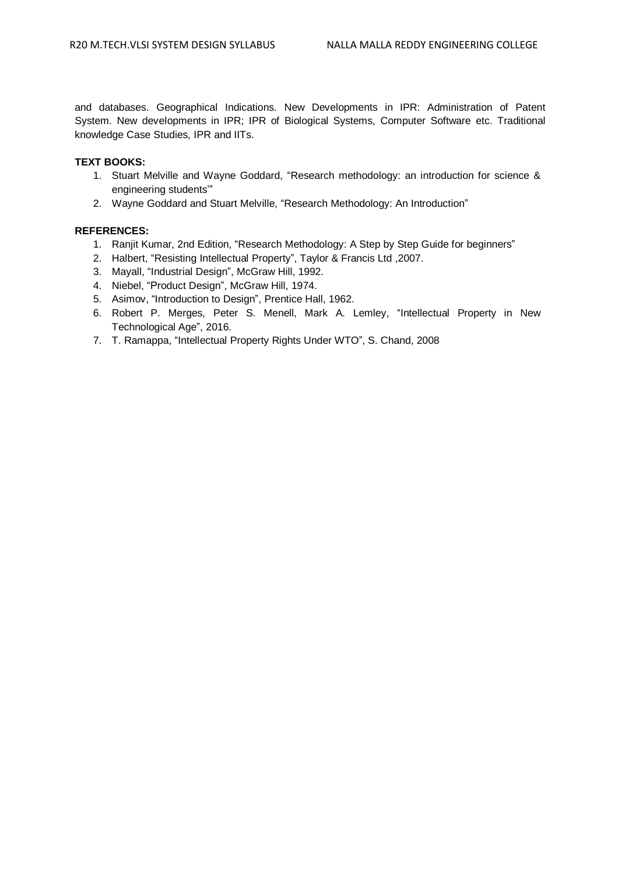and databases. Geographical Indications. New Developments in IPR: Administration of Patent System. New developments in IPR; IPR of Biological Systems, Computer Software etc. Traditional knowledge Case Studies, IPR and IITs.

# **TEXT BOOKS:**

- 1. Stuart Melville and Wayne Goddard, "Research methodology: an introduction for science & engineering students'"
- 2. Wayne Goddard and Stuart Melville, "Research Methodology: An Introduction"

- 1. Ranjit Kumar, 2nd Edition, "Research Methodology: A Step by Step Guide for beginners"
- 2. Halbert, "Resisting Intellectual Property", Taylor & Francis Ltd ,2007.
- 3. Mayall, "Industrial Design", McGraw Hill, 1992.
- 4. Niebel, "Product Design", McGraw Hill, 1974.
- 5. Asimov, "Introduction to Design", Prentice Hall, 1962.
- 6. Robert P. Merges, Peter S. Menell, Mark A. Lemley, "Intellectual Property in New Technological Age", 2016.
- 7. T. Ramappa, "Intellectual Property Rights Under WTO", S. Chand, 2008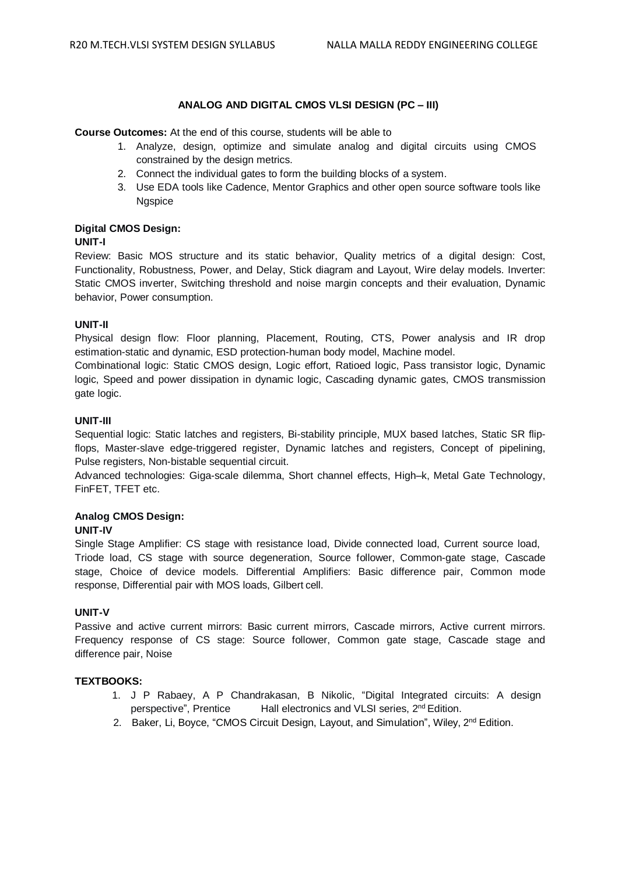# **ANALOG AND DIGITAL CMOS VLSI DESIGN (PC – III)**

# **Course Outcomes:** At the end of this course, students will be able to

- 1. Analyze, design, optimize and simulate analog and digital circuits using CMOS constrained by the design metrics.
- 2. Connect the individual gates to form the building blocks of a system.
- 3. Use EDA tools like Cadence, Mentor Graphics and other open source software tools like **Naspice**

# **Digital CMOS Design:**

# **UNIT-I**

Review: Basic MOS structure and its static behavior, Quality metrics of a digital design: Cost, Functionality, Robustness, Power, and Delay, Stick diagram and Layout, Wire delay models. Inverter: Static CMOS inverter, Switching threshold and noise margin concepts and their evaluation, Dynamic behavior, Power consumption.

# **UNIT-II**

Physical design flow: Floor planning, Placement, Routing, CTS, Power analysis and IR drop estimation-static and dynamic, ESD protection-human body model, Machine model.

Combinational logic: Static CMOS design, Logic effort, Ratioed logic, Pass transistor logic, Dynamic logic, Speed and power dissipation in dynamic logic, Cascading dynamic gates, CMOS transmission gate logic.

# **UNIT-III**

Sequential logic: Static latches and registers, Bi-stability principle, MUX based latches, Static SR flipflops, Master-slave edge-triggered register, Dynamic latches and registers, Concept of pipelining, Pulse registers, Non-bistable sequential circuit.

Advanced technologies: Giga-scale dilemma, Short channel effects, High–k, Metal Gate Technology, FinFET, TFET etc.

# **Analog CMOS Design:**

# **UNIT-IV**

Single Stage Amplifier: CS stage with resistance load, Divide connected load, Current source load, Triode load, CS stage with source degeneration, Source follower, Common-gate stage, Cascade stage, Choice of device models. Differential Amplifiers: Basic difference pair, Common mode response, Differential pair with MOS loads, Gilbert cell.

# **UNIT-V**

Passive and active current mirrors: Basic current mirrors, Cascade mirrors, Active current mirrors. Frequency response of CS stage: Source follower, Common gate stage, Cascade stage and difference pair, Noise

# **TEXTBOOKS:**

- 1. J P Rabaey, A P Chandrakasan, B Nikolic, "Digital Integrated circuits: A design perspective", Prentice Hall electronics and VLSI series, 2<sup>nd</sup> Edition.
- 2. Baker, Li, Boyce, "CMOS Circuit Design, Layout, and Simulation", Wiley, 2<sup>nd</sup> Edition.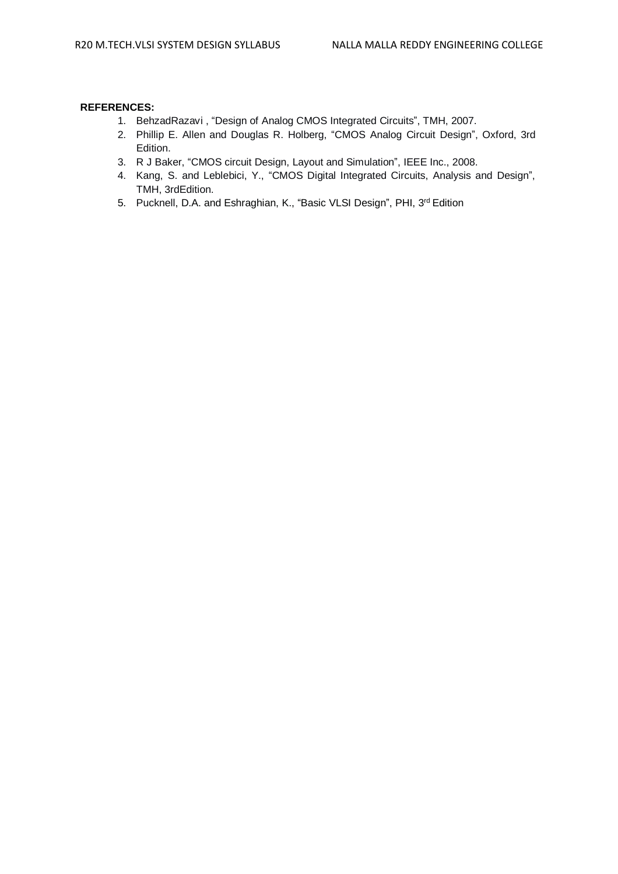- 1. BehzadRazavi , "Design of Analog CMOS Integrated Circuits", TMH, 2007.
- 2. Phillip E. Allen and Douglas R. Holberg, "CMOS Analog Circuit Design", Oxford, 3rd Edition.
- 3. R J Baker, "CMOS circuit Design, Layout and Simulation", IEEE Inc., 2008.
- 4. Kang, S. and Leblebici, Y., "CMOS Digital Integrated Circuits, Analysis and Design", TMH, 3rdEdition.
- 5. Pucknell, D.A. and Eshraghian, K., "Basic VLSI Design", PHI, 3<sup>rd</sup> Edition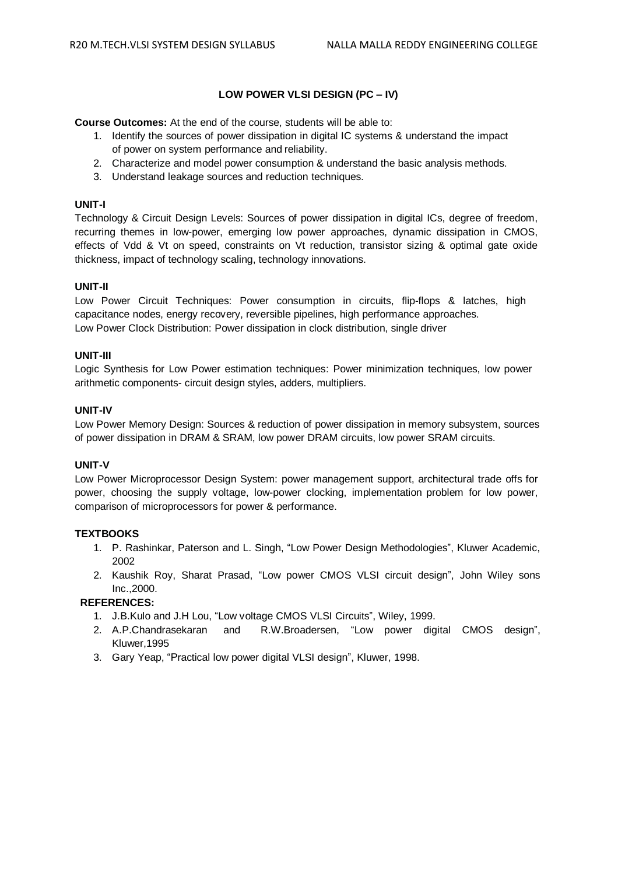# **LOW POWER VLSI DESIGN (PC – IV)**

**Course Outcomes:** At the end of the course, students will be able to:

- 1. Identify the sources of power dissipation in digital IC systems & understand the impact of power on system performance and reliability.
- 2. Characterize and model power consumption & understand the basic analysis methods.
- 3. Understand leakage sources and reduction techniques.

# **UNIT-I**

Technology & Circuit Design Levels: Sources of power dissipation in digital ICs, degree of freedom, recurring themes in low-power, emerging low power approaches, dynamic dissipation in CMOS, effects of Vdd & Vt on speed, constraints on Vt reduction, transistor sizing & optimal gate oxide thickness, impact of technology scaling, technology innovations.

# **UNIT-II**

Low Power Circuit Techniques: Power consumption in circuits, flip-flops & latches, high capacitance nodes, energy recovery, reversible pipelines, high performance approaches. Low Power Clock Distribution: Power dissipation in clock distribution, single driver

#### **UNIT-III**

Logic Synthesis for Low Power estimation techniques: Power minimization techniques, low power arithmetic components- circuit design styles, adders, multipliers.

# **UNIT-IV**

Low Power Memory Design: Sources & reduction of power dissipation in memory subsystem, sources of power dissipation in DRAM & SRAM, low power DRAM circuits, low power SRAM circuits.

# **UNIT-V**

Low Power Microprocessor Design System: power management support, architectural trade offs for power, choosing the supply voltage, low-power clocking, implementation problem for low power, comparison of microprocessors for power & performance.

# **TEXTBOOKS**

- 1. P. Rashinkar, Paterson and L. Singh, "Low Power Design Methodologies", Kluwer Academic, 2002
- 2. Kaushik Roy, Sharat Prasad, "Low power CMOS VLSI circuit design", John Wiley sons Inc.,2000.

- 1. J.B.Kulo and J.H Lou, "Low voltage CMOS VLSI Circuits", Wiley, 1999.
- 2. A.P.Chandrasekaran and R.W.Broadersen, "Low power digital CMOS design", Kluwer,1995
- 3. Gary Yeap, "Practical low power digital VLSI design", Kluwer, 1998.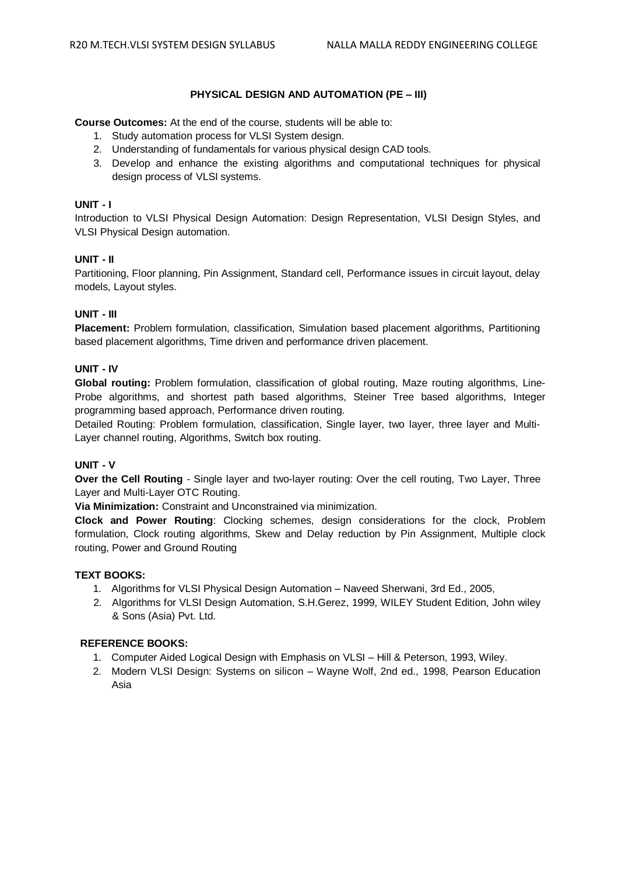# **PHYSICAL DESIGN AND AUTOMATION (PE – III)**

**Course Outcomes:** At the end of the course, students will be able to:

- 1. Study automation process for VLSI System design.
- 2. Understanding of fundamentals for various physical design CAD tools.
- 3. Develop and enhance the existing algorithms and computational techniques for physical design process of VLSI systems.

# **UNIT - I**

Introduction to VLSI Physical Design Automation: Design Representation, VLSI Design Styles, and VLSI Physical Design automation.

# **UNIT - II**

Partitioning, Floor planning, Pin Assignment, Standard cell, Performance issues in circuit layout, delay models, Layout styles.

# **UNIT - III**

**Placement:** Problem formulation, classification, Simulation based placement algorithms, Partitioning based placement algorithms, Time driven and performance driven placement.

# **UNIT - IV**

**Global routing:** Problem formulation, classification of global routing, Maze routing algorithms, Line-Probe algorithms, and shortest path based algorithms, Steiner Tree based algorithms, Integer programming based approach, Performance driven routing.

Detailed Routing: Problem formulation, classification, Single layer, two layer, three layer and Multi-Layer channel routing, Algorithms, Switch box routing.

# **UNIT - V**

**Over the Cell Routing** - Single layer and two-layer routing: Over the cell routing, Two Layer, Three Layer and Multi-Layer OTC Routing.

**Via Minimization:** Constraint and Unconstrained via minimization.

**Clock and Power Routing**: Clocking schemes, design considerations for the clock, Problem formulation, Clock routing algorithms, Skew and Delay reduction by Pin Assignment, Multiple clock routing, Power and Ground Routing

# **TEXT BOOKS:**

- 1. Algorithms for VLSI Physical Design Automation Naveed Sherwani, 3rd Ed., 2005,
- 2. Algorithms for VLSI Design Automation, S.H.Gerez, 1999, WILEY Student Edition, John wiley & Sons (Asia) Pvt. Ltd.

# **REFERENCE BOOKS:**

- 1. Computer Aided Logical Design with Emphasis on VLSI Hill & Peterson, 1993, Wiley.
- 2. Modern VLSI Design: Systems on silicon Wayne Wolf, 2nd ed., 1998, Pearson Education Asia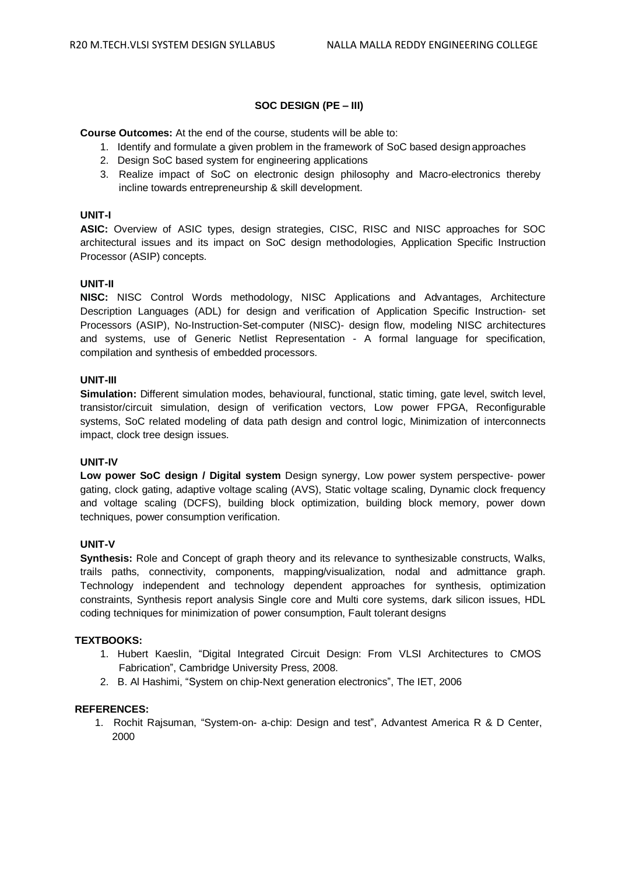# **SOC DESIGN (PE – III)**

**Course Outcomes:** At the end of the course, students will be able to:

- 1. Identify and formulate a given problem in the framework of SoC based design approaches
- 2. Design SoC based system for engineering applications
- 3. Realize impact of SoC on electronic design philosophy and Macro-electronics thereby incline towards entrepreneurship & skill development.

#### **UNIT-I**

**ASIC:** Overview of ASIC types, design strategies, CISC, RISC and NISC approaches for SOC architectural issues and its impact on SoC design methodologies, Application Specific Instruction Processor (ASIP) concepts.

#### **UNIT-II**

**NISC:** NISC Control Words methodology, NISC Applications and Advantages, Architecture Description Languages (ADL) for design and verification of Application Specific Instruction- set Processors (ASIP), No-Instruction-Set-computer (NISC)- design flow, modeling NISC architectures and systems, use of Generic Netlist Representation - A formal language for specification, compilation and synthesis of embedded processors.

#### **UNIT-III**

**Simulation:** Different simulation modes, behavioural, functional, static timing, gate level, switch level, transistor/circuit simulation, design of verification vectors, Low power FPGA, Reconfigurable systems, SoC related modeling of data path design and control logic, Minimization of interconnects impact, clock tree design issues.

# **UNIT-IV**

**Low power SoC design / Digital system** Design synergy, Low power system perspective- power gating, clock gating, adaptive voltage scaling (AVS), Static voltage scaling, Dynamic clock frequency and voltage scaling (DCFS), building block optimization, building block memory, power down techniques, power consumption verification.

#### **UNIT-V**

**Synthesis:** Role and Concept of graph theory and its relevance to synthesizable constructs, Walks, trails paths, connectivity, components, mapping/visualization, nodal and admittance graph. Technology independent and technology dependent approaches for synthesis, optimization constraints, Synthesis report analysis Single core and Multi core systems, dark silicon issues, HDL coding techniques for minimization of power consumption, Fault tolerant designs

#### **TEXTBOOKS:**

- 1. Hubert Kaeslin, "Digital Integrated Circuit Design: From VLSI Architectures to CMOS Fabrication", Cambridge University Press, 2008.
- 2. B. Al Hashimi, "System on chip-Next generation electronics", The IET, 2006

# **REFERENCES:**

1. Rochit Rajsuman, "System-on- a-chip: Design and test", Advantest America R & D Center, 2000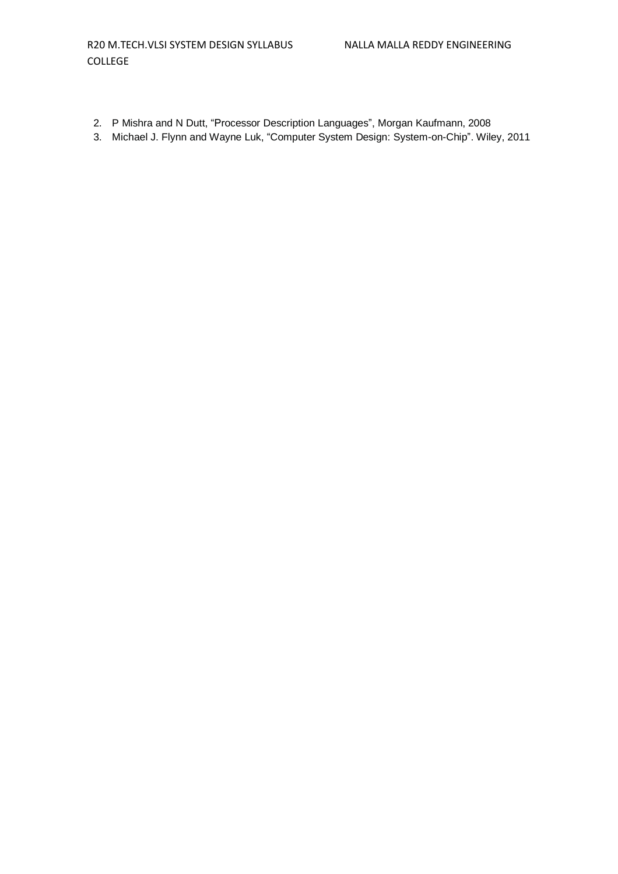- 2. P Mishra and N Dutt, "Processor Description Languages", Morgan Kaufmann, 2008
- 3. Michael J. Flynn and Wayne Luk, "Computer System Design: System-on-Chip". Wiley, 2011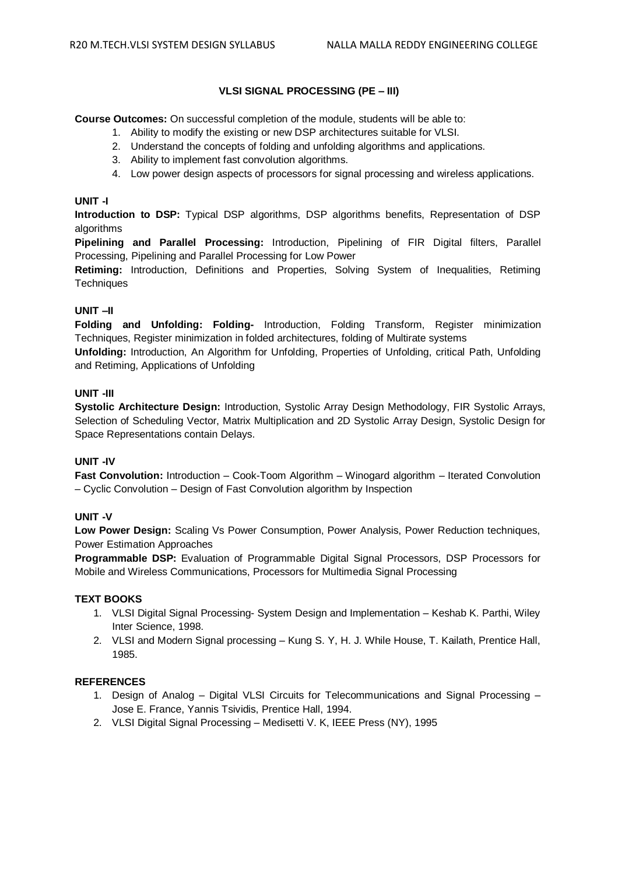# **VLSI SIGNAL PROCESSING (PE – III)**

**Course Outcomes:** On successful completion of the module, students will be able to:

- 1. Ability to modify the existing or new DSP architectures suitable for VLSI.
- 2. Understand the concepts of folding and unfolding algorithms and applications.
- 3. Ability to implement fast convolution algorithms.
- 4. Low power design aspects of processors for signal processing and wireless applications.

# **UNIT -I**

**Introduction to DSP:** Typical DSP algorithms, DSP algorithms benefits, Representation of DSP algorithms

**Pipelining and Parallel Processing:** Introduction, Pipelining of FIR Digital filters, Parallel Processing, Pipelining and Parallel Processing for Low Power

**Retiming:** Introduction, Definitions and Properties, Solving System of Inequalities, Retiming **Techniques** 

# **UNIT –II**

**Folding and Unfolding: Folding-** Introduction, Folding Transform, Register minimization Techniques, Register minimization in folded architectures, folding of Multirate systems

**Unfolding:** Introduction, An Algorithm for Unfolding, Properties of Unfolding, critical Path, Unfolding and Retiming, Applications of Unfolding

# **UNIT -III**

**Systolic Architecture Design:** Introduction, Systolic Array Design Methodology, FIR Systolic Arrays, Selection of Scheduling Vector, Matrix Multiplication and 2D Systolic Array Design, Systolic Design for Space Representations contain Delays.

# **UNIT -IV**

**Fast Convolution:** Introduction – Cook-Toom Algorithm – Winogard algorithm – Iterated Convolution – Cyclic Convolution – Design of Fast Convolution algorithm by Inspection

# **UNIT -V**

**Low Power Design:** Scaling Vs Power Consumption, Power Analysis, Power Reduction techniques, Power Estimation Approaches

**Programmable DSP:** Evaluation of Programmable Digital Signal Processors, DSP Processors for Mobile and Wireless Communications, Processors for Multimedia Signal Processing

# **TEXT BOOKS**

- 1. VLSI Digital Signal Processing- System Design and Implementation Keshab K. Parthi, Wiley Inter Science, 1998.
- 2. VLSI and Modern Signal processing Kung S. Y, H. J. While House, T. Kailath, Prentice Hall, 1985.

- 1. Design of Analog Digital VLSI Circuits for Telecommunications and Signal Processing Jose E. France, Yannis Tsividis, Prentice Hall, 1994.
- 2. VLSI Digital Signal Processing Medisetti V. K, IEEE Press (NY), 1995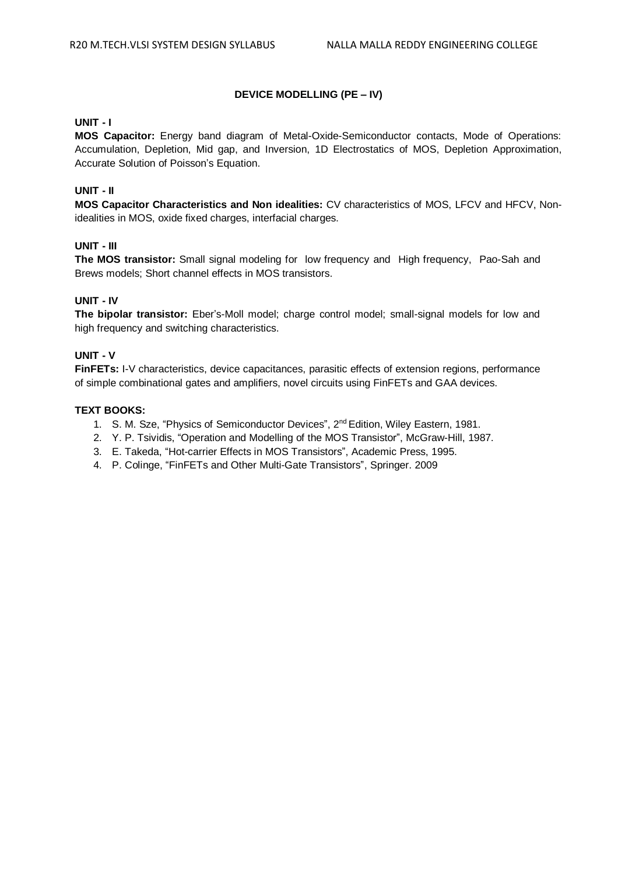# **DEVICE MODELLING (PE – IV)**

# **UNIT - I**

**MOS Capacitor:** Energy band diagram of Metal-Oxide-Semiconductor contacts, Mode of Operations: Accumulation, Depletion, Mid gap, and Inversion, 1D Electrostatics of MOS, Depletion Approximation, Accurate Solution of Poisson's Equation.

# **UNIT - II**

**MOS Capacitor Characteristics and Non idealities:** CV characteristics of MOS, LFCV and HFCV, Nonidealities in MOS, oxide fixed charges, interfacial charges.

### **UNIT - III**

**The MOS transistor:** Small signal modeling for low frequency and High frequency, Pao-Sah and Brews models; Short channel effects in MOS transistors.

### **UNIT - IV**

**The bipolar transistor:** Eber's-Moll model; charge control model; small-signal models for low and high frequency and switching characteristics.

#### **UNIT - V**

**FinFETs:** I-V characteristics, device capacitances, parasitic effects of extension regions, performance of simple combinational gates and amplifiers, novel circuits using FinFETs and GAA devices.

#### **TEXT BOOKS:**

- 1. S. M. Sze, "Physics of Semiconductor Devices", 2<sup>nd</sup> Edition, Wiley Eastern, 1981.
- 2. Y. P. Tsividis, "Operation and Modelling of the MOS Transistor", McGraw-Hill, 1987.
- 3. E. Takeda, "Hot-carrier Effects in MOS Transistors", Academic Press, 1995.
- 4. P. Colinge, "FinFETs and Other Multi-Gate Transistors", Springer. 2009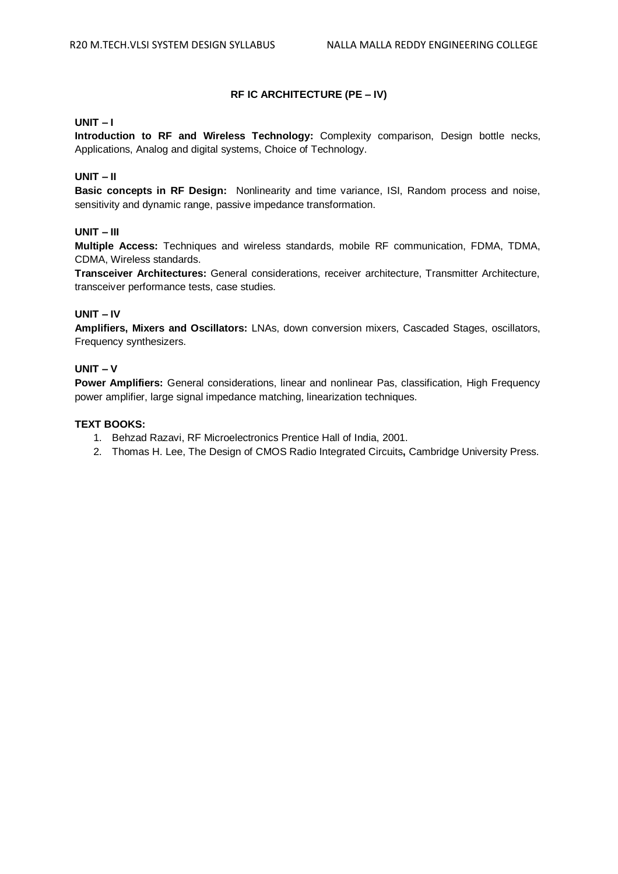# **RF IC ARCHITECTURE (PE – IV)**

# **UNIT – I**

**Introduction to RF and Wireless Technology:** Complexity comparison, Design bottle necks, Applications, Analog and digital systems, Choice of Technology.

# **UNIT – II**

**Basic concepts in RF Design:** Nonlinearity and time variance, ISI, Random process and noise, sensitivity and dynamic range, passive impedance transformation.

# **UNIT – III**

**Multiple Access:** Techniques and wireless standards, mobile RF communication, FDMA, TDMA, CDMA, Wireless standards.

**Transceiver Architectures:** General considerations, receiver architecture, Transmitter Architecture, transceiver performance tests, case studies.

# **UNIT – IV**

**Amplifiers, Mixers and Oscillators:** LNAs, down conversion mixers, Cascaded Stages, oscillators, Frequency synthesizers.

# **UNIT – V**

**Power Amplifiers:** General considerations, linear and nonlinear Pas, classification, High Frequency power amplifier, large signal impedance matching, linearization techniques.

#### **TEXT BOOKS:**

- 1. Behzad Razavi, RF Microelectronics Prentice Hall of India, 2001.
- 2. Thomas H. Lee, The Design of CMOS Radio Integrated Circuits**,** Cambridge University Press.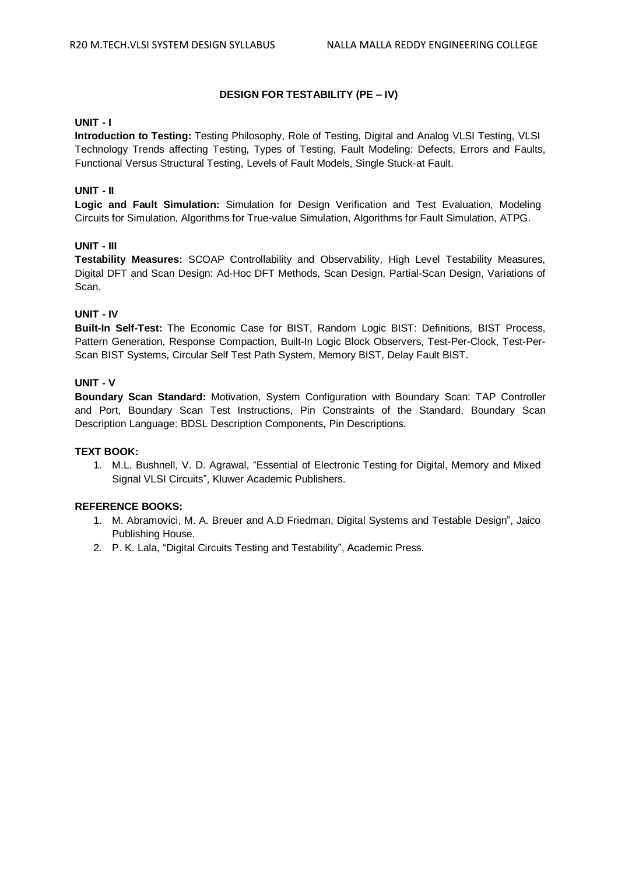# **DESIGN FOR TESTABILITY (PE – IV)**

# **UNIT - I**

**Introduction to Testing:** Testing Philosophy, Role of Testing, Digital and Analog VLSI Testing, VLSI Technology Trends affecting Testing, Types of Testing, Fault Modeling: Defects, Errors and Faults, Functional Versus Structural Testing, Levels of Fault Models, Single Stuck-at Fault.

### **UNIT - II**

**Logic and Fault Simulation:** Simulation for Design Verification and Test Evaluation, Modeling Circuits for Simulation, Algorithms for True-value Simulation, Algorithms for Fault Simulation, ATPG.

### **UNIT - III**

**Testability Measures:** SCOAP Controllability and Observability, High Level Testability Measures, Digital DFT and Scan Design: Ad-Hoc DFT Methods, Scan Design, Partial-Scan Design, Variations of Scan.

# **UNIT - IV**

**Built-In Self-Test:** The Economic Case for BIST, Random Logic BIST: Definitions, BIST Process, Pattern Generation, Response Compaction, Built-In Logic Block Observers, Test-Per-Clock, Test-Per-Scan BIST Systems, Circular Self Test Path System, Memory BIST, Delay Fault BIST.

# **UNIT - V**

**Boundary Scan Standard:** Motivation, System Configuration with Boundary Scan: TAP Controller and Port, Boundary Scan Test Instructions, Pin Constraints of the Standard, Boundary Scan Description Language: BDSL Description Components, Pin Descriptions.

#### **TEXT BOOK:**

1. M.L. Bushnell, V. D. Agrawal, "Essential of Electronic Testing for Digital, Memory and Mixed Signal VLSI Circuits", Kluwer Academic Publishers.

# **REFERENCE BOOKS:**

- 1. M. Abramovici, M. A. Breuer and A.D Friedman, Digital Systems and Testable Design", Jaico Publishing House.
- 2. P. K. Lala, "Digital Circuits Testing and Testability", Academic Press.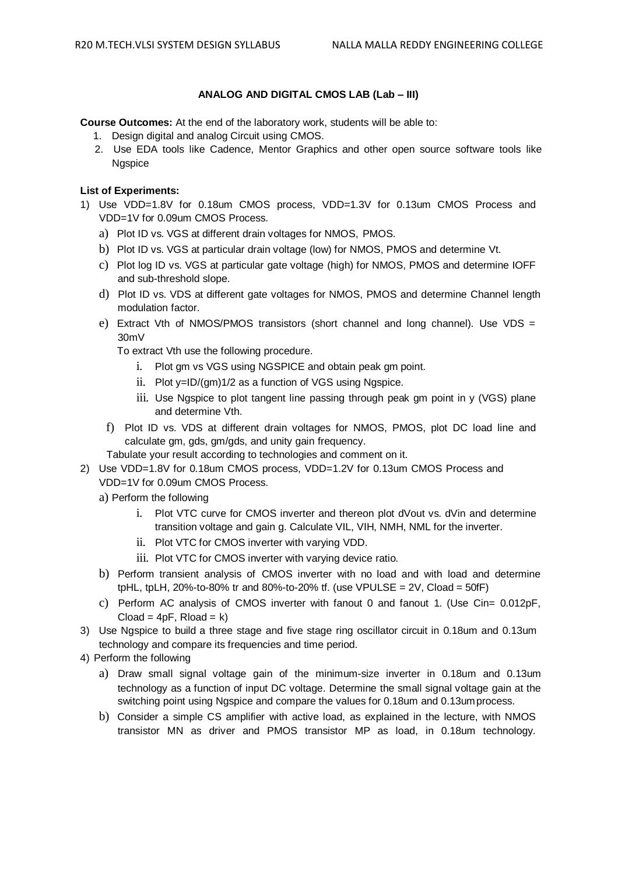# **ANALOG AND DIGITAL CMOS LAB (Lab – III)**

**Course Outcomes:** At the end of the laboratory work, students will be able to:

- 1. Design digital and analog Circuit using CMOS.
- 2. Use EDA tools like Cadence, Mentor Graphics and other open source software tools like **Naspice**

# **List of Experiments:**

- 1) Use VDD=1.8V for 0.18um CMOS process, VDD=1.3V for 0.13um CMOS Process and VDD=1V for 0.09um CMOS Process.
	- a) Plot ID vs. VGS at different drain voltages for NMOS, PMOS.
	- b) Plot ID vs. VGS at particular drain voltage (low) for NMOS, PMOS and determine Vt.
	- c) Plot log ID vs. VGS at particular gate voltage (high) for NMOS, PMOS and determine IOFF and sub-threshold slope.
	- d) Plot ID vs. VDS at different gate voltages for NMOS, PMOS and determine Channel length modulation factor.
	- e) Extract Vth of NMOS/PMOS transistors (short channel and long channel). Use VDS = 30mV

To extract Vth use the following procedure.

- i. Plot gm vs VGS using NGSPICE and obtain peak gm point.
- ii. Plot y=ID/(gm)1/2 as a function of VGS using Ngspice.
- iii. Use Ngspice to plot tangent line passing through peak gm point in y (VGS) plane and determine Vth.
- f) Plot ID vs. VDS at different drain voltages for NMOS, PMOS, plot DC load line and calculate gm, gds, gm/gds, and unity gain frequency.
- Tabulate your result according to technologies and comment on it.
- 2) Use VDD=1.8V for 0.18um CMOS process, VDD=1.2V for 0.13um CMOS Process and VDD=1V for 0.09um CMOS Process.
	- a) Perform the following
		- i. Plot VTC curve for CMOS inverter and thereon plot dVout vs. dVin and determine transition voltage and gain g. Calculate VIL, VIH, NMH, NML for the inverter.
		- ii. Plot VTC for CMOS inverter with varying VDD.
		- iii. Plot VTC for CMOS inverter with varying device ratio.
	- b) Perform transient analysis of CMOS inverter with no load and with load and determine tpHL, tpLH, 20%-to-80% tr and 80%-to-20% tf. (use VPULSE =  $2V$ , Cload =  $50$ fF)
	- c) Perform AC analysis of CMOS inverter with fanout 0 and fanout 1. (Use Cin= 0.012pF,  $Cload = 4pF$ ,  $Rload = k$ )
- 3) Use Ngspice to build a three stage and five stage ring oscillator circuit in 0.18um and 0.13um technology and compare its frequencies and time period.
- 4) Perform the following
	- a) Draw small signal voltage gain of the minimum-size inverter in 0.18um and 0.13um technology as a function of input DC voltage. Determine the small signal voltage gain at the switching point using Ngspice and compare the values for 0.18um and 0.13umprocess.
	- b) Consider a simple CS amplifier with active load, as explained in the lecture, with NMOS transistor MN as driver and PMOS transistor MP as load, in 0.18um technology.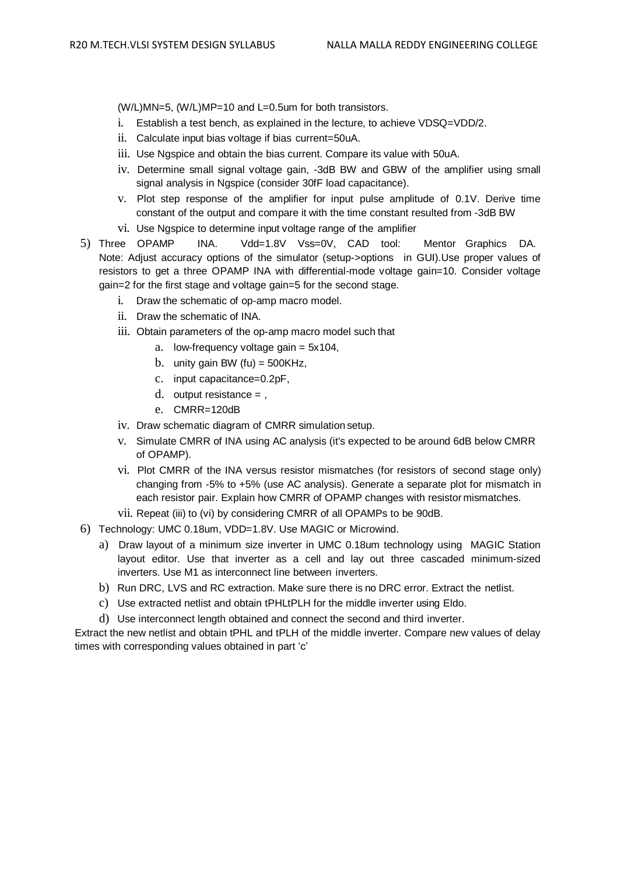(W/L)MN=5, (W/L)MP=10 and L=0.5um for both transistors.

- i. Establish a test bench, as explained in the lecture, to achieve VDSQ=VDD/2.
- ii. Calculate input bias voltage if bias current=50uA.
- iii. Use Ngspice and obtain the bias current. Compare its value with 50uA.
- iv. Determine small signal voltage gain, -3dB BW and GBW of the amplifier using small signal analysis in Ngspice (consider 30fF load capacitance).
- v. Plot step response of the amplifier for input pulse amplitude of 0.1V. Derive time constant of the output and compare it with the time constant resulted from -3dB BW
- vi. Use Ngspice to determine input voltage range of the amplifier
- 5) Three OPAMP INA. Vdd=1.8V Vss=0V, CAD tool: Mentor Graphics DA. Note: Adjust accuracy options of the simulator (setup->options in GUI).Use proper values of resistors to get a three OPAMP INA with differential-mode voltage gain=10. Consider voltage gain=2 for the first stage and voltage gain=5 for the second stage.
	- i. Draw the schematic of op-amp macro model.
	- ii. Draw the schematic of INA.
	- iii. Obtain parameters of the op-amp macro model such that
		- a. low-frequency voltage gain  $= 5x104$ ,
		- b. unity gain BW (fu)  $=$  500KHz,
		- c. input capacitance=0.2pF,
		- d. output resistance  $=$ .
		- e. CMRR=120dB
	- iv. Draw schematic diagram of CMRR simulation setup.
	- v. Simulate CMRR of INA using AC analysis (it's expected to be around 6dB below CMRR of OPAMP).
	- vi. Plot CMRR of the INA versus resistor mismatches (for resistors of second stage only) changing from -5% to +5% (use AC analysis). Generate a separate plot for mismatch in each resistor pair. Explain how CMRR of OPAMP changes with resistor mismatches.
	- vii. Repeat (iii) to (vi) by considering CMRR of all OPAMPs to be 90dB.
- 6) Technology: UMC 0.18um, VDD=1.8V. Use MAGIC or Microwind.
	- a) Draw layout of a minimum size inverter in UMC 0.18um technology using MAGIC Station layout editor. Use that inverter as a cell and lay out three cascaded minimum-sized inverters. Use M1 as interconnect line between inverters.
	- b) Run DRC, LVS and RC extraction. Make sure there is no DRC error. Extract the netlist.
	- c) Use extracted netlist and obtain tPHLtPLH for the middle inverter using Eldo.
	- d) Use interconnect length obtained and connect the second and third inverter.

Extract the new netlist and obtain tPHL and tPLH of the middle inverter. Compare new values of delay times with corresponding values obtained in part 'c'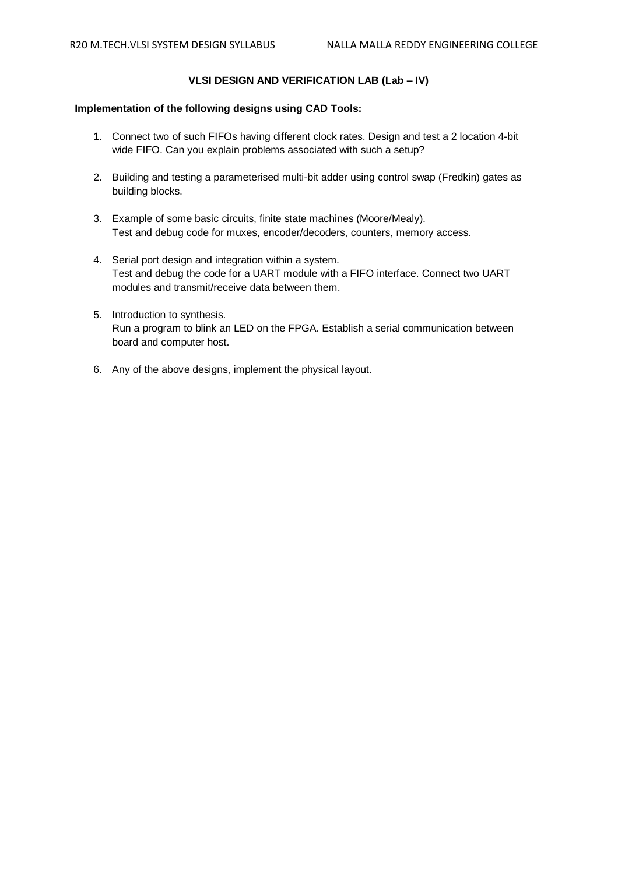# **VLSI DESIGN AND VERIFICATION LAB (Lab – IV)**

# **Implementation of the following designs using CAD Tools:**

- 1. Connect two of such FIFOs having different clock rates. Design and test a 2 location 4-bit wide FIFO. Can you explain problems associated with such a setup?
- 2. Building and testing a parameterised multi-bit adder using control swap (Fredkin) gates as building blocks.
- 3. Example of some basic circuits, finite state machines (Moore/Mealy). Test and debug code for muxes, encoder/decoders, counters, memory access.
- 4. Serial port design and integration within a system. Test and debug the code for a UART module with a FIFO interface. Connect two UART modules and transmit/receive data between them.
- 5. Introduction to synthesis. Run a program to blink an LED on the FPGA. Establish a serial communication between board and computer host.
- 6. Any of the above designs, implement the physical layout.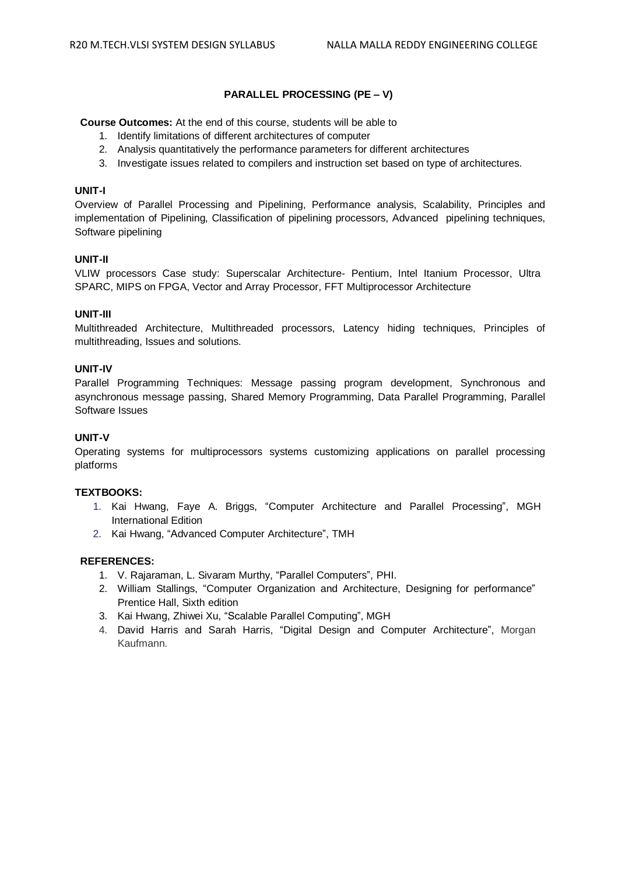# **PARALLEL PROCESSING (PE – V)**

**Course Outcomes:** At the end of this course, students will be able to

- 1. Identify limitations of different architectures of computer
- 2. Analysis quantitatively the performance parameters for different architectures
- 3. Investigate issues related to compilers and instruction set based on type of architectures.

# **UNIT-I**

Overview of Parallel Processing and Pipelining, Performance analysis, Scalability, Principles and implementation of Pipelining, Classification of pipelining processors, Advanced pipelining techniques, Software pipelining

# **UNIT-II**

VLIW processors Case study: Superscalar Architecture- Pentium, Intel Itanium Processor, Ultra SPARC, MIPS on FPGA, Vector and Array Processor, FFT Multiprocessor Architecture

# **UNIT-III**

Multithreaded Architecture, Multithreaded processors, Latency hiding techniques, Principles of multithreading, Issues and solutions.

# **UNIT-IV**

Parallel Programming Techniques: Message passing program development, Synchronous and asynchronous message passing, Shared Memory Programming, Data Parallel Programming, Parallel Software Issues

# **UNIT-V**

Operating systems for multiprocessors systems customizing applications on parallel processing platforms

# **TEXTBOOKS:**

- 1. Kai Hwang, Faye A. Briggs, "Computer Architecture and Parallel Processing", MGH International Edition
- 2. Kai Hwang, "Advanced Computer Architecture", TMH

- 1. V. Rajaraman, L. Sivaram Murthy, "Parallel Computers", PHI.
- 2. William Stallings, "Computer Organization and Architecture, Designing for performance" Prentice Hall, Sixth edition
- 3. Kai Hwang, Zhiwei Xu, "Scalable Parallel Computing", MGH
- 4. David Harris and Sarah Harris, "Digital Design and Computer Architecture", Morgan Kaufmann.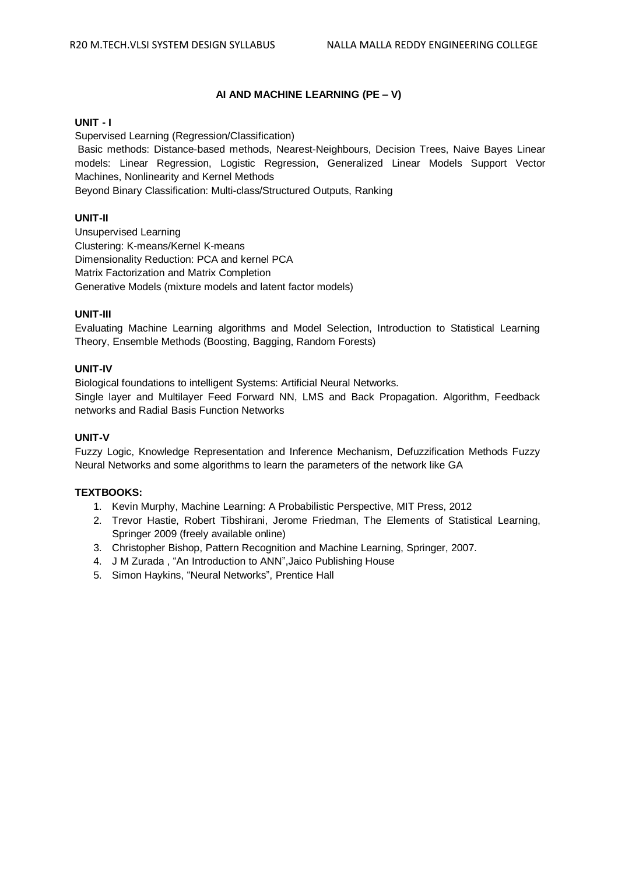# **AI AND MACHINE LEARNING (PE – V)**

# **UNIT - I**

Supervised Learning (Regression/Classification)

Basic methods: Distance-based methods, Nearest-Neighbours, Decision Trees, Naive Bayes Linear models: Linear Regression, Logistic Regression, Generalized Linear Models Support Vector Machines, Nonlinearity and Kernel Methods

Beyond Binary Classification: Multi-class/Structured Outputs, Ranking

# **UNIT-II**

Unsupervised Learning Clustering: K-means/Kernel K-means Dimensionality Reduction: PCA and kernel PCA Matrix Factorization and Matrix Completion Generative Models (mixture models and latent factor models)

# **UNIT-III**

Evaluating Machine Learning algorithms and Model Selection, Introduction to Statistical Learning Theory, Ensemble Methods (Boosting, Bagging, Random Forests)

# **UNIT-IV**

Biological foundations to intelligent Systems: Artificial Neural Networks. Single layer and Multilayer Feed Forward NN, LMS and Back Propagation. Algorithm, Feedback networks and Radial Basis Function Networks

# **UNIT-V**

Fuzzy Logic, Knowledge Representation and Inference Mechanism, Defuzzification Methods Fuzzy Neural Networks and some algorithms to learn the parameters of the network like GA

# **TEXTBOOKS:**

- 1. Kevin Murphy, Machine Learning: A Probabilistic Perspective, MIT Press, 2012
- 2. Trevor Hastie, Robert Tibshirani, Jerome Friedman, The Elements of Statistical Learning, Springer 2009 (freely available online)
- 3. Christopher Bishop, Pattern Recognition and Machine Learning, Springer, 2007.
- 4. J M Zurada , "An Introduction to ANN",Jaico Publishing House
- 5. Simon Haykins, "Neural Networks", Prentice Hall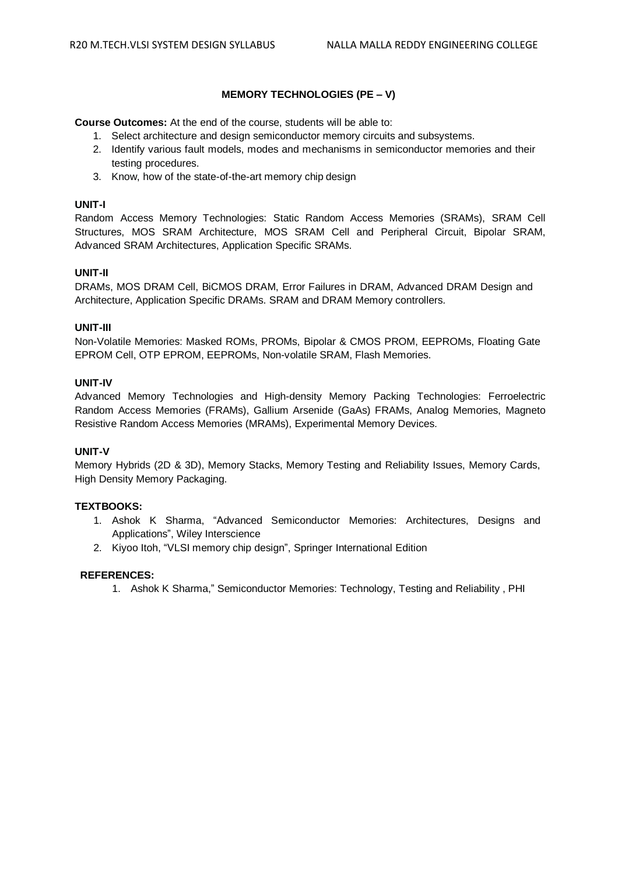# **MEMORY TECHNOLOGIES (PE – V)**

**Course Outcomes:** At the end of the course, students will be able to:

- 1. Select architecture and design semiconductor memory circuits and subsystems.
- 2. Identify various fault models, modes and mechanisms in semiconductor memories and their testing procedures.
- 3. Know, how of the state-of-the-art memory chip design

# **UNIT-I**

Random Access Memory Technologies: Static Random Access Memories (SRAMs), SRAM Cell Structures, MOS SRAM Architecture, MOS SRAM Cell and Peripheral Circuit, Bipolar SRAM, Advanced SRAM Architectures, Application Specific SRAMs.

# **UNIT-II**

DRAMs, MOS DRAM Cell, BiCMOS DRAM, Error Failures in DRAM, Advanced DRAM Design and Architecture, Application Specific DRAMs. SRAM and DRAM Memory controllers.

# **UNIT-III**

Non-Volatile Memories: Masked ROMs, PROMs, Bipolar & CMOS PROM, EEPROMs, Floating Gate EPROM Cell, OTP EPROM, EEPROMs, Non-volatile SRAM, Flash Memories.

# **UNIT-IV**

Advanced Memory Technologies and High-density Memory Packing Technologies: Ferroelectric Random Access Memories (FRAMs), Gallium Arsenide (GaAs) FRAMs, Analog Memories, Magneto Resistive Random Access Memories (MRAMs), Experimental Memory Devices.

# **UNIT-V**

Memory Hybrids (2D & 3D), Memory Stacks, Memory Testing and Reliability Issues, Memory Cards, High Density Memory Packaging.

# **TEXTBOOKS:**

- 1. Ashok K Sharma, "Advanced Semiconductor Memories: Architectures, Designs and Applications", Wiley Interscience
- 2. Kiyoo Itoh, "VLSI memory chip design", Springer International Edition

#### **REFERENCES:**

1. Ashok K Sharma," Semiconductor Memories: Technology, Testing and Reliability , PHI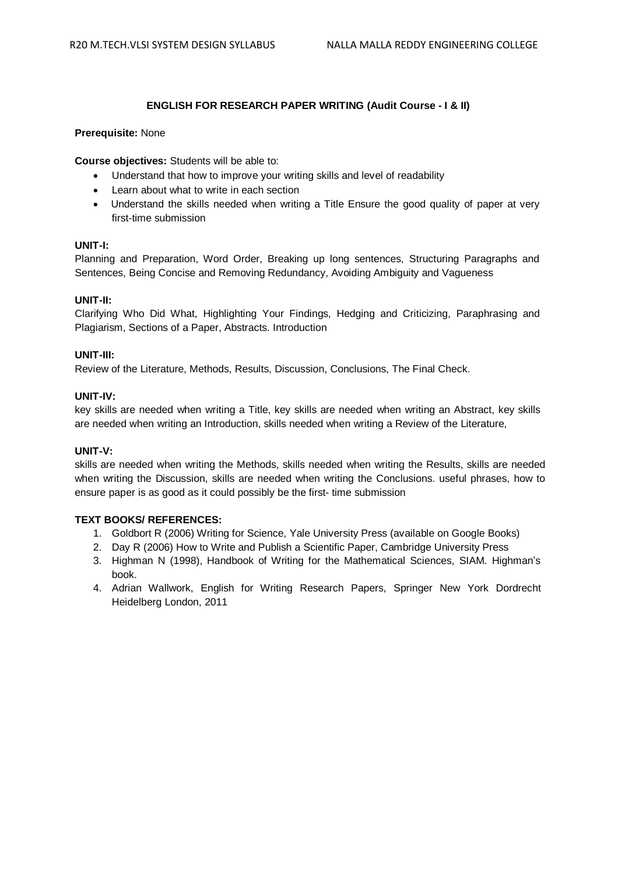# **ENGLISH FOR RESEARCH PAPER WRITING (Audit Course - I & II)**

# **Prerequisite:** None

**Course objectives:** Students will be able to:

- Understand that how to improve your writing skills and level of readability
- Learn about what to write in each section
- Understand the skills needed when writing a Title Ensure the good quality of paper at very first-time submission

# **UNIT-I:**

Planning and Preparation, Word Order, Breaking up long sentences, Structuring Paragraphs and Sentences, Being Concise and Removing Redundancy, Avoiding Ambiguity and Vagueness

# **UNIT-II:**

Clarifying Who Did What, Highlighting Your Findings, Hedging and Criticizing, Paraphrasing and Plagiarism, Sections of a Paper, Abstracts. Introduction

# **UNIT-III:**

Review of the Literature, Methods, Results, Discussion, Conclusions, The Final Check.

# **UNIT-IV:**

key skills are needed when writing a Title, key skills are needed when writing an Abstract, key skills are needed when writing an Introduction, skills needed when writing a Review of the Literature,

#### **UNIT-V:**

skills are needed when writing the Methods, skills needed when writing the Results, skills are needed when writing the Discussion, skills are needed when writing the Conclusions. useful phrases, how to ensure paper is as good as it could possibly be the first- time submission

- 1. Goldbort R (2006) Writing for Science, Yale University Press (available on Google Books)
- 2. Day R (2006) How to Write and Publish a Scientific Paper, Cambridge University Press
- 3. Highman N (1998), Handbook of Writing for the Mathematical Sciences, SIAM. Highman's book.
- 4. Adrian Wallwork, English for Writing Research Papers, Springer New York Dordrecht Heidelberg London, 2011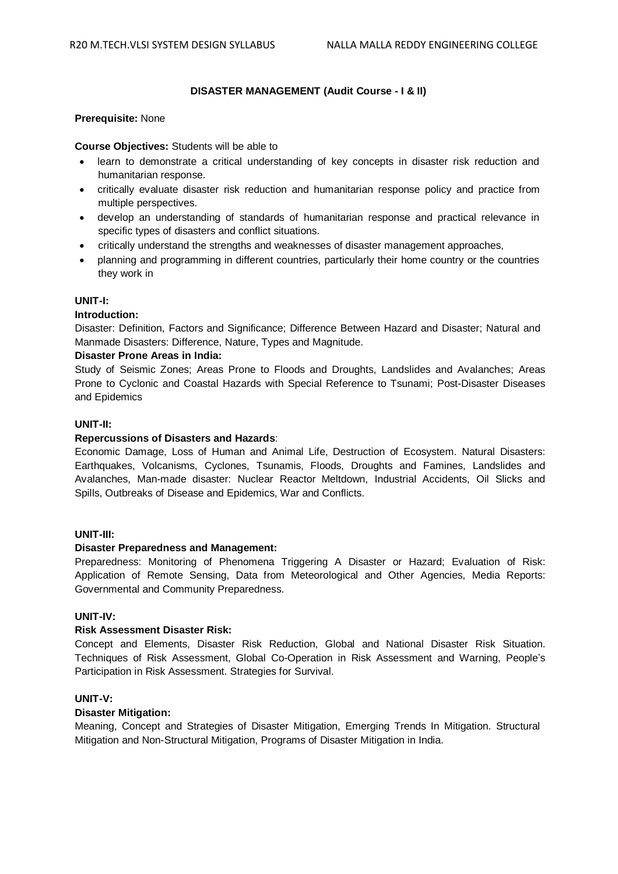### **DISASTER MANAGEMENT (Audit Course - I & II)**

#### **Prerequisite:** None

#### **Course Objectives:** Students will be able to

- learn to demonstrate a critical understanding of key concepts in disaster risk reduction and humanitarian response.
- critically evaluate disaster risk reduction and humanitarian response policy and practice from multiple perspectives.
- develop an understanding of standards of humanitarian response and practical relevance in specific types of disasters and conflict situations.
- critically understand the strengths and weaknesses of disaster management approaches,
- planning and programming in different countries, particularly their home country or the countries they work in

### **UNIT-I:**

#### **Introduction:**

Disaster: Definition, Factors and Significance; Difference Between Hazard and Disaster; Natural and Manmade Disasters: Difference, Nature, Types and Magnitude.

### **Disaster Prone Areas in India:**

Study of Seismic Zones; Areas Prone to Floods and Droughts, Landslides and Avalanches; Areas Prone to Cyclonic and Coastal Hazards with Special Reference to Tsunami; Post-Disaster Diseases and Epidemics

#### **UNIT-II:**

# **Repercussions of Disasters and Hazards**:

Economic Damage, Loss of Human and Animal Life, Destruction of Ecosystem. Natural Disasters: Earthquakes, Volcanisms, Cyclones, Tsunamis, Floods, Droughts and Famines, Landslides and Avalanches, Man-made disaster: Nuclear Reactor Meltdown, Industrial Accidents, Oil Slicks and Spills, Outbreaks of Disease and Epidemics, War and Conflicts.

#### **UNIT-III:**

#### **Disaster Preparedness and Management:**

Preparedness: Monitoring of Phenomena Triggering A Disaster or Hazard; Evaluation of Risk: Application of Remote Sensing, Data from Meteorological and Other Agencies, Media Reports: Governmental and Community Preparedness.

#### **UNIT-IV:**

# **Risk Assessment Disaster Risk:**

Concept and Elements, Disaster Risk Reduction, Global and National Disaster Risk Situation. Techniques of Risk Assessment, Global Co-Operation in Risk Assessment and Warning, People's Participation in Risk Assessment. Strategies for Survival.

#### **UNIT-V:**

### **Disaster Mitigation:**

Meaning, Concept and Strategies of Disaster Mitigation, Emerging Trends In Mitigation. Structural Mitigation and Non-Structural Mitigation, Programs of Disaster Mitigation in India.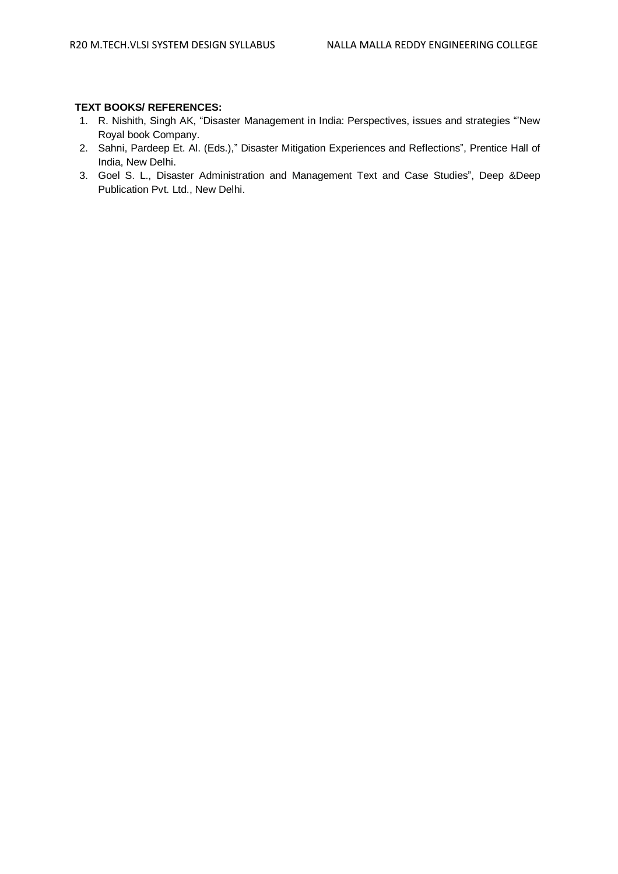- 1. R. Nishith, Singh AK, "Disaster Management in India: Perspectives, issues and strategies "'New Royal book Company.
- 2. Sahni, Pardeep Et. Al. (Eds.)," Disaster Mitigation Experiences and Reflections", Prentice Hall of India, New Delhi.
- 3. Goel S. L., Disaster Administration and Management Text and Case Studies", Deep &Deep Publication Pvt. Ltd., New Delhi.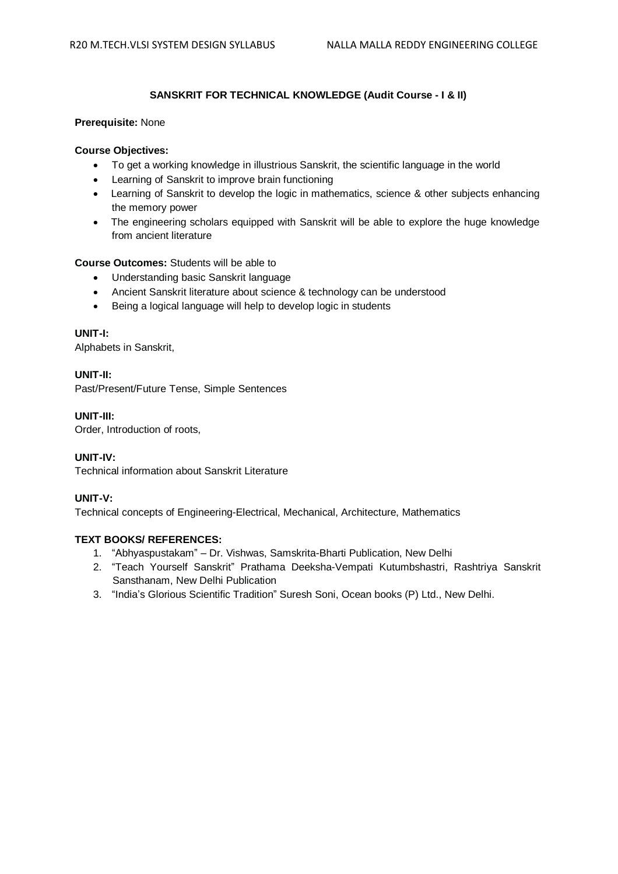# **SANSKRIT FOR TECHNICAL KNOWLEDGE (Audit Course - I & II)**

# **Prerequisite:** None

# **Course Objectives:**

- To get a working knowledge in illustrious Sanskrit, the scientific language in the world
- Learning of Sanskrit to improve brain functioning
- Learning of Sanskrit to develop the logic in mathematics, science & other subjects enhancing the memory power
- The engineering scholars equipped with Sanskrit will be able to explore the huge knowledge from ancient literature

# **Course Outcomes:** Students will be able to

- Understanding basic Sanskrit language
- Ancient Sanskrit literature about science & technology can be understood
- Being a logical language will help to develop logic in students

# **UNIT-I:**

Alphabets in Sanskrit,

**UNIT-II:** Past/Present/Future Tense, Simple Sentences

**UNIT-III:**

Order, Introduction of roots,

# **UNIT-IV:**

Technical information about Sanskrit Literature

# **UNIT-V:**

Technical concepts of Engineering-Electrical, Mechanical, Architecture, Mathematics

- 1. "Abhyaspustakam" Dr. Vishwas, Samskrita-Bharti Publication, New Delhi
- 2. "Teach Yourself Sanskrit" Prathama Deeksha-Vempati Kutumbshastri, Rashtriya Sanskrit Sansthanam, New Delhi Publication
- 3. "India's Glorious Scientific Tradition" Suresh Soni, Ocean books (P) Ltd., New Delhi.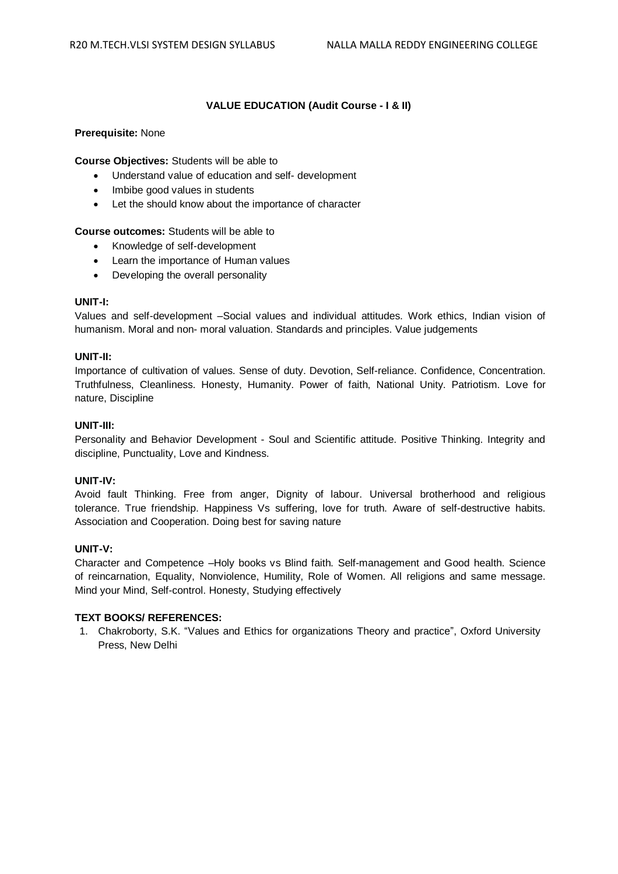# **VALUE EDUCATION (Audit Course - I & II)**

# **Prerequisite:** None

**Course Objectives:** Students will be able to

- Understand value of education and self- development
- Imbibe good values in students
- Let the should know about the importance of character

# **Course outcomes:** Students will be able to

- Knowledge of self-development
- Learn the importance of Human values
- Developing the overall personality

# **UNIT-I:**

Values and self-development –Social values and individual attitudes. Work ethics, Indian vision of humanism. Moral and non- moral valuation. Standards and principles. Value judgements

# **UNIT-II:**

Importance of cultivation of values. Sense of duty. Devotion, Self-reliance. Confidence, Concentration. Truthfulness, Cleanliness. Honesty, Humanity. Power of faith, National Unity. Patriotism. Love for nature, Discipline

# **UNIT-III:**

Personality and Behavior Development - Soul and Scientific attitude. Positive Thinking. Integrity and discipline, Punctuality, Love and Kindness.

# **UNIT-IV:**

Avoid fault Thinking. Free from anger, Dignity of labour. Universal brotherhood and religious tolerance. True friendship. Happiness Vs suffering, love for truth. Aware of self-destructive habits. Association and Cooperation. Doing best for saving nature

# **UNIT-V:**

Character and Competence –Holy books vs Blind faith. Self-management and Good health. Science of reincarnation, Equality, Nonviolence, Humility, Role of Women. All religions and same message. Mind your Mind, Self-control. Honesty, Studying effectively

# **TEXT BOOKS/ REFERENCES:**

1. Chakroborty, S.K. "Values and Ethics for organizations Theory and practice", Oxford University Press, New Delhi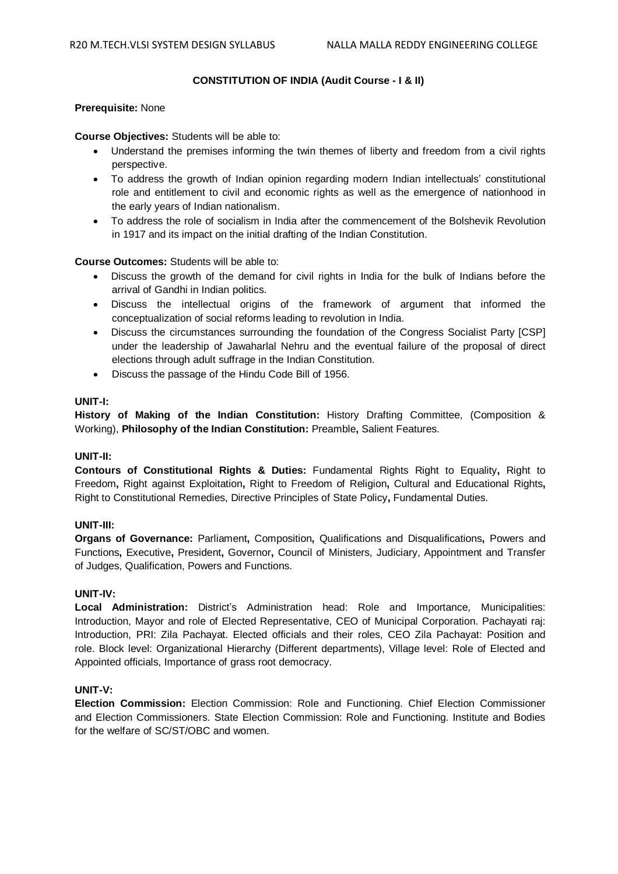# **CONSTITUTION OF INDIA (Audit Course - I & II)**

# **Prerequisite:** None

### **Course Objectives:** Students will be able to:

- Understand the premises informing the twin themes of liberty and freedom from a civil rights perspective.
- To address the growth of Indian opinion regarding modern Indian intellectuals' constitutional role and entitlement to civil and economic rights as well as the emergence of nationhood in the early years of Indian nationalism.
- To address the role of socialism in India after the commencement of the Bolshevik Revolution in 1917 and its impact on the initial drafting of the Indian Constitution.

# **Course Outcomes:** Students will be able to:

- Discuss the growth of the demand for civil rights in India for the bulk of Indians before the arrival of Gandhi in Indian politics.
- Discuss the intellectual origins of the framework of argument that informed the conceptualization of social reforms leading to revolution in India.
- Discuss the circumstances surrounding the foundation of the Congress Socialist Party [CSP] under the leadership of Jawaharlal Nehru and the eventual failure of the proposal of direct elections through adult suffrage in the Indian Constitution.
- Discuss the passage of the Hindu Code Bill of 1956.

# **UNIT-I:**

**History of Making of the Indian Constitution:** History Drafting Committee, (Composition & Working), **Philosophy of the Indian Constitution:** Preamble**,** Salient Features.

# **UNIT-II:**

**Contours of Constitutional Rights & Duties:** Fundamental Rights Right to Equality**,** Right to Freedom**,** Right against Exploitation**,** Right to Freedom of Religion**,** Cultural and Educational Rights**,**  Right to Constitutional Remedies, Directive Principles of State Policy**,** Fundamental Duties.

# **UNIT-III:**

**Organs of Governance:** Parliament**,** Composition**,** Qualifications and Disqualifications**,** Powers and Functions**,** Executive**,** President**,** Governor**,** Council of Ministers, Judiciary, Appointment and Transfer of Judges, Qualification, Powers and Functions.

#### **UNIT-IV:**

**Local Administration:** District's Administration head: Role and Importance, Municipalities: Introduction, Mayor and role of Elected Representative, CEO of Municipal Corporation. Pachayati raj: Introduction, PRI: Zila Pachayat. Elected officials and their roles, CEO Zila Pachayat: Position and role. Block level: Organizational Hierarchy (Different departments), Village level: Role of Elected and Appointed officials, Importance of grass root democracy.

# **UNIT-V:**

**Election Commission:** Election Commission: Role and Functioning. Chief Election Commissioner and Election Commissioners. State Election Commission: Role and Functioning. Institute and Bodies for the welfare of SC/ST/OBC and women.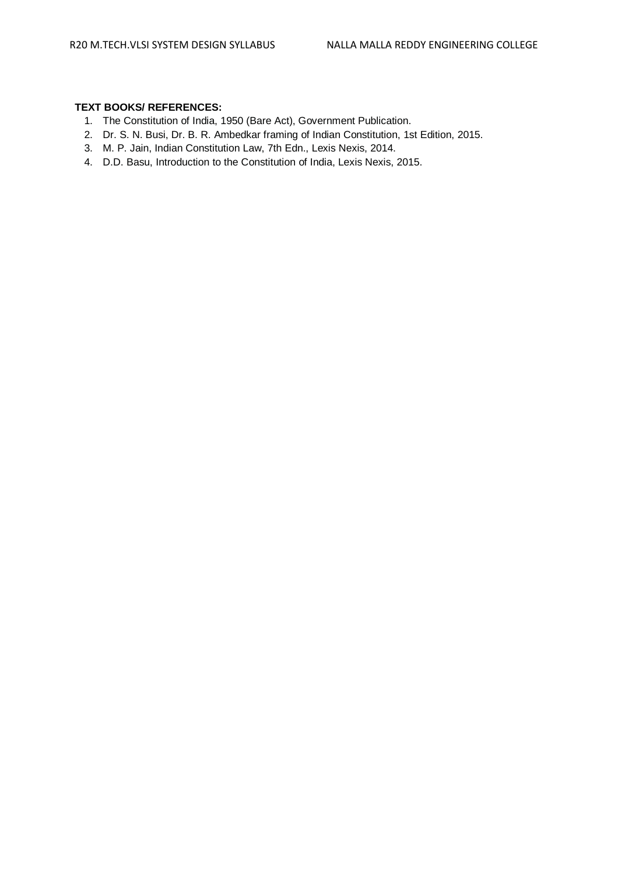- 1. The Constitution of India, 1950 (Bare Act), Government Publication.
- 2. Dr. S. N. Busi, Dr. B. R. Ambedkar framing of Indian Constitution, 1st Edition, 2015.
- 3. M. P. Jain, Indian Constitution Law, 7th Edn., Lexis Nexis, 2014.
- 4. D.D. Basu, Introduction to the Constitution of India, Lexis Nexis, 2015.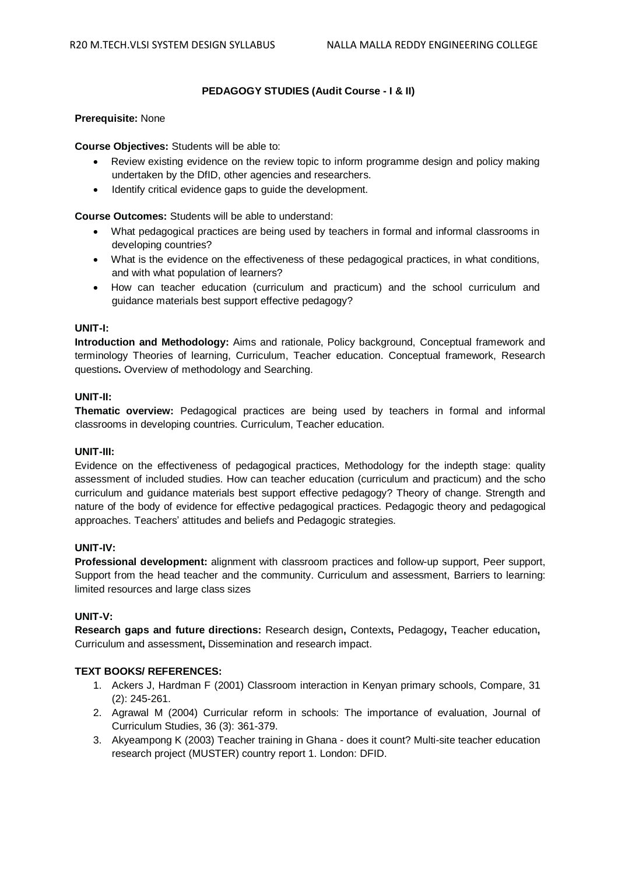# **PEDAGOGY STUDIES (Audit Course - I & II)**

# **Prerequisite:** None

**Course Objectives:** Students will be able to:

- Review existing evidence on the review topic to inform programme design and policy making undertaken by the DfID, other agencies and researchers.
- Identify critical evidence gaps to guide the development.

**Course Outcomes:** Students will be able to understand:

- What pedagogical practices are being used by teachers in formal and informal classrooms in developing countries?
- What is the evidence on the effectiveness of these pedagogical practices, in what conditions, and with what population of learners?
- How can teacher education (curriculum and practicum) and the school curriculum and guidance materials best support effective pedagogy?

# **UNIT-I:**

**Introduction and Methodology:** Aims and rationale, Policy background, Conceptual framework and terminology Theories of learning, Curriculum, Teacher education. Conceptual framework, Research questions**.** Overview of methodology and Searching.

# **UNIT-II:**

**Thematic overview:** Pedagogical practices are being used by teachers in formal and informal classrooms in developing countries. Curriculum, Teacher education.

#### **UNIT-III:**

Evidence on the effectiveness of pedagogical practices, Methodology for the indepth stage: quality assessment of included studies. How can teacher education (curriculum and practicum) and the scho curriculum and guidance materials best support effective pedagogy? Theory of change. Strength and nature of the body of evidence for effective pedagogical practices. Pedagogic theory and pedagogical approaches. Teachers' attitudes and beliefs and Pedagogic strategies.

# **UNIT-IV:**

**Professional development:** alignment with classroom practices and follow-up support, Peer support, Support from the head teacher and the community. Curriculum and assessment, Barriers to learning: limited resources and large class sizes

# **UNIT-V:**

**Research gaps and future directions:** Research design**,** Contexts**,** Pedagogy**,** Teacher education**,** Curriculum and assessment**,** Dissemination and research impact.

- 1. Ackers J, Hardman F (2001) Classroom interaction in Kenyan primary schools, Compare, 31 (2): 245-261.
- 2. Agrawal M (2004) Curricular reform in schools: The importance of evaluation, Journal of Curriculum Studies, 36 (3): 361-379.
- 3. Akyeampong K (2003) Teacher training in Ghana does it count? Multi-site teacher education research project (MUSTER) country report 1. London: DFID.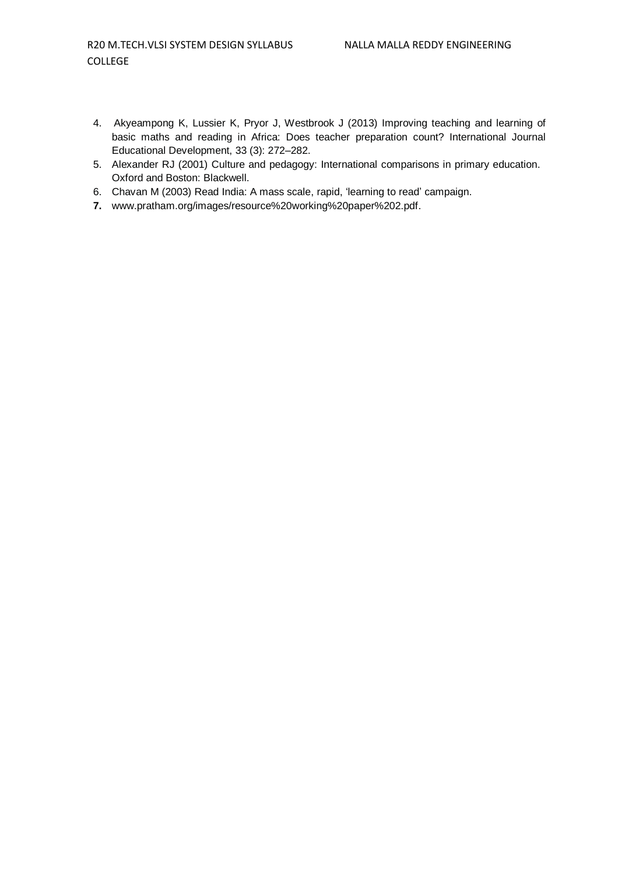- 4. Akyeampong K, Lussier K, Pryor J, Westbrook J (2013) Improving teaching and learning of basic maths and reading in Africa: Does teacher preparation count? International Journal Educational Development, 33 (3): 272–282.
- 5. Alexander RJ (2001) Culture and pedagogy: International comparisons in primary education. Oxford and Boston: Blackwell.
- 6. Chavan M (2003) Read India: A mass scale, rapid, 'learning to read' campaign.
- **7.** [www.pratham.org/images/resource%20working%20paper%202.pdf.](http://www.pratham.org/images/resource%20working%20paper%202.pdf.)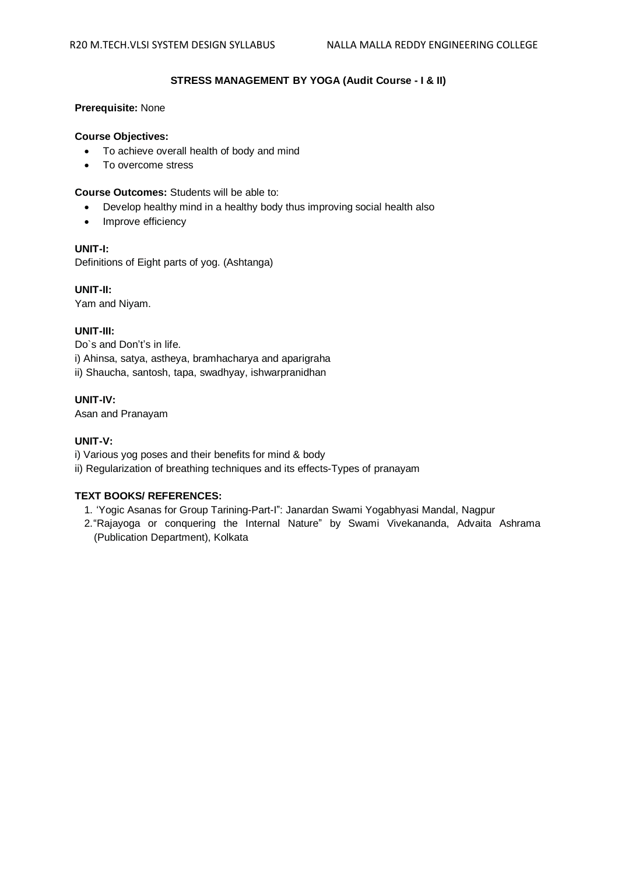# **STRESS MANAGEMENT BY YOGA (Audit Course - I & II)**

# **Prerequisite:** None

# **Course Objectives:**

- To achieve overall health of body and mind
- To overcome stress

### **Course Outcomes:** Students will be able to:

- Develop healthy mind in a healthy body thus improving social health also
- Improve efficiency

# **UNIT-I:**

Definitions of Eight parts of yog. (Ashtanga)

**UNIT-II:**

Yam and Niyam.

# **UNIT-III:**

Do`s and Don't's in life. i) Ahinsa, satya, astheya, bramhacharya and aparigraha ii) Shaucha, santosh, tapa, swadhyay, ishwarpranidhan

# **UNIT-IV:**

Asan and Pranayam

# **UNIT-V:**

- i) Various yog poses and their benefits for mind & body
- ii) Regularization of breathing techniques and its effects-Types of pranayam

- 1. 'Yogic Asanas for Group Tarining-Part-I": Janardan Swami Yogabhyasi Mandal, Nagpur
- 2."Rajayoga or conquering the Internal Nature" by Swami Vivekananda, Advaita Ashrama (Publication Department), Kolkata